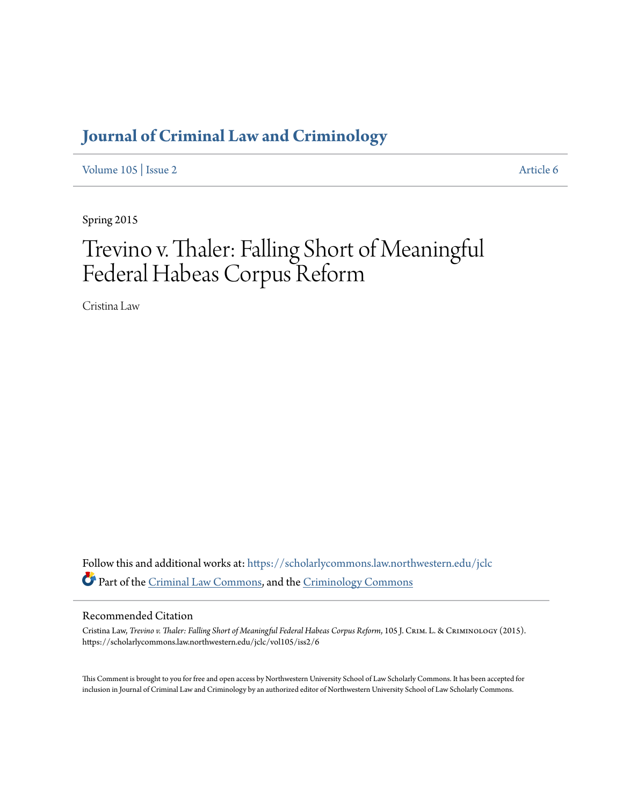# **[Journal of Criminal Law and Criminology](https://scholarlycommons.law.northwestern.edu/jclc?utm_source=scholarlycommons.law.northwestern.edu%2Fjclc%2Fvol105%2Fiss2%2F6&utm_medium=PDF&utm_campaign=PDFCoverPages)**

[Volume 105](https://scholarlycommons.law.northwestern.edu/jclc/vol105?utm_source=scholarlycommons.law.northwestern.edu%2Fjclc%2Fvol105%2Fiss2%2F6&utm_medium=PDF&utm_campaign=PDFCoverPages) | [Issue 2](https://scholarlycommons.law.northwestern.edu/jclc/vol105/iss2?utm_source=scholarlycommons.law.northwestern.edu%2Fjclc%2Fvol105%2Fiss2%2F6&utm_medium=PDF&utm_campaign=PDFCoverPages) [Article 6](https://scholarlycommons.law.northwestern.edu/jclc/vol105/iss2/6?utm_source=scholarlycommons.law.northwestern.edu%2Fjclc%2Fvol105%2Fiss2%2F6&utm_medium=PDF&utm_campaign=PDFCoverPages)

Spring 2015

# Trevino v. Thaler: Falling Short of Meaningful Federal Habeas Corpus Reform

Cristina Law

Follow this and additional works at: [https://scholarlycommons.law.northwestern.edu/jclc](https://scholarlycommons.law.northwestern.edu/jclc?utm_source=scholarlycommons.law.northwestern.edu%2Fjclc%2Fvol105%2Fiss2%2F6&utm_medium=PDF&utm_campaign=PDFCoverPages) Part of the [Criminal Law Commons](http://network.bepress.com/hgg/discipline/912?utm_source=scholarlycommons.law.northwestern.edu%2Fjclc%2Fvol105%2Fiss2%2F6&utm_medium=PDF&utm_campaign=PDFCoverPages), and the [Criminology Commons](http://network.bepress.com/hgg/discipline/417?utm_source=scholarlycommons.law.northwestern.edu%2Fjclc%2Fvol105%2Fiss2%2F6&utm_medium=PDF&utm_campaign=PDFCoverPages)

# Recommended Citation

Cristina Law, *Trevino v. Thaler: Falling Short of Meaningful Federal Habeas Corpus Reform*, 105 J. Crim. L. & Criminology (2015). https://scholarlycommons.law.northwestern.edu/jclc/vol105/iss2/6

This Comment is brought to you for free and open access by Northwestern University School of Law Scholarly Commons. It has been accepted for inclusion in Journal of Criminal Law and Criminology by an authorized editor of Northwestern University School of Law Scholarly Commons.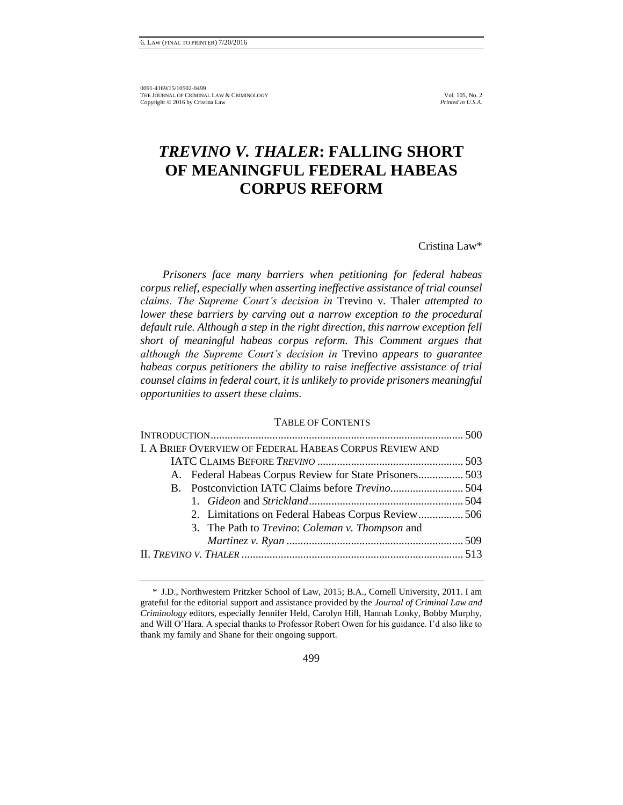# *TREVINO V. THALER***: FALLING SHORT OF MEANINGFUL FEDERAL HABEAS CORPUS REFORM**

Cristina Law\*

*Prisoners face many barriers when petitioning for federal habeas corpus relief, especially when asserting ineffective assistance of trial counsel claims. The Supreme Court's decision in* Trevino v. Thaler *attempted to lower these barriers by carving out a narrow exception to the procedural default rule. Although a step in the right direction, this narrow exception fell short of meaningful habeas corpus reform. This Comment argues that although the Supreme Court's decision in* Trevino *appears to guarantee habeas corpus petitioners the ability to raise ineffective assistance of trial counsel claims in federal court, it is unlikely to provide prisoners meaningful opportunities to assert these claims.* 

#### TABLE OF CONTENTS

| A. Federal Habeas Corpus Review for State Prisoners 503 |
|---------------------------------------------------------|
|                                                         |
|                                                         |
| 2. Limitations on Federal Habeas Corpus Review506       |
|                                                         |
|                                                         |
|                                                         |
|                                                         |

<sup>\*</sup> J.D., Northwestern Pritzker School of Law, 2015; B.A., Cornell University, 2011. I am grateful for the editorial support and assistance provided by the *Journal of Criminal Law and Criminology* editors, especially Jennifer Held, Carolyn Hill, Hannah Lonky, Bobby Murphy, and Will O'Hara. A special thanks to Professor Robert Owen for his guidance. I'd also like to thank my family and Shane for their ongoing support.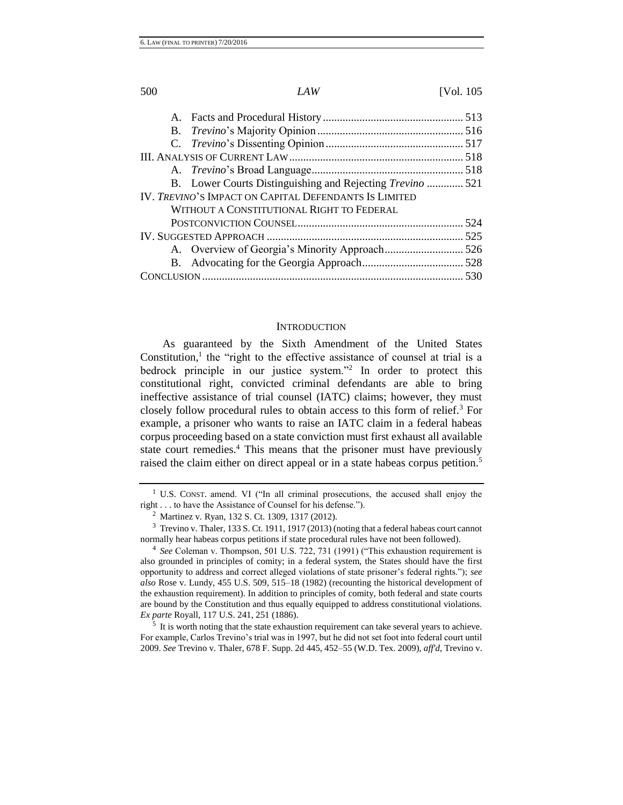| B. Lower Courts Distinguishing and Rejecting <i>Trevino</i> 521 |  |
|-----------------------------------------------------------------|--|
| IV. TREVINO'S IMPACT ON CAPITAL DEFENDANTS IS LIMITED           |  |
| WITHOUT A CONSTITUTIONAL RIGHT TO FEDERAL                       |  |
|                                                                 |  |
|                                                                 |  |
|                                                                 |  |
|                                                                 |  |
|                                                                 |  |
|                                                                 |  |

#### **INTRODUCTION**

As guaranteed by the Sixth Amendment of the United States Constitution, $<sup>1</sup>$  the "right to the effective assistance of counsel at trial is a</sup> bedrock principle in our justice system."<sup>2</sup> In order to protect this constitutional right, convicted criminal defendants are able to bring ineffective assistance of trial counsel (IATC) claims; however, they must closely follow procedural rules to obtain access to this form of relief.<sup>3</sup> For example, a prisoner who wants to raise an IATC claim in a federal habeas corpus proceeding based on a state conviction must first exhaust all available state court remedies.<sup>4</sup> This means that the prisoner must have previously raised the claim either on direct appeal or in a state habeas corpus petition.<sup>5</sup>

 $<sup>5</sup>$  It is worth noting that the state exhaustion requirement can take several years to achieve.</sup> For example, Carlos Trevino's trial was in 1997, but he did not set foot into federal court until 2009. *See* Trevino v. Thaler, 678 F. Supp. 2d 445, 452–55 (W.D. Tex. 2009), *aff'd*, Trevino v.

<sup>&</sup>lt;sup>1</sup> U.S. CONST. amend. VI ("In all criminal prosecutions, the accused shall enjoy the right . . . to have the Assistance of Counsel for his defense.").

<sup>2</sup> Martinez v. Ryan, 132 S. Ct. 1309, 1317 (2012).

<sup>3</sup> Trevino v. Thaler, 133 S. Ct. 1911, 1917 (2013) (noting that a federal habeas court cannot normally hear habeas corpus petitions if state procedural rules have not been followed).

<sup>4</sup> *See* Coleman v. Thompson, 501 U.S. 722, 731 (1991) ("This exhaustion requirement is also grounded in principles of comity; in a federal system, the States should have the first opportunity to address and correct alleged violations of state prisoner's federal rights."); *see also* Rose v. Lundy, 455 U.S. 509, 515–18 (1982) (recounting the historical development of the exhaustion requirement). In addition to principles of comity, both federal and state courts are bound by the Constitution and thus equally equipped to address constitutional violations. *Ex parte* Royall, 117 U.S. 241, 251 (1886).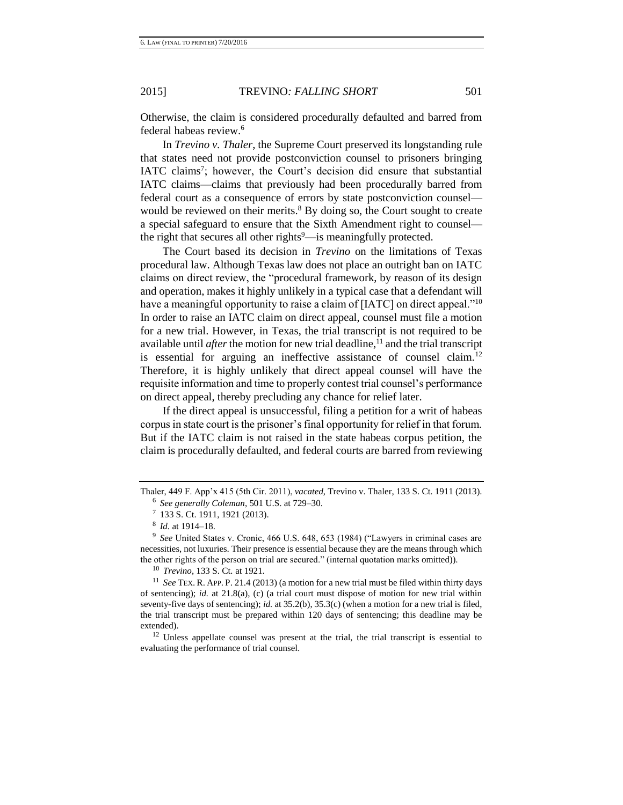Otherwise, the claim is considered procedurally defaulted and barred from federal habeas review.<sup>6</sup>

In *Trevino v. Thaler*, the Supreme Court preserved its longstanding rule that states need not provide postconviction counsel to prisoners bringing IATC claims<sup>7</sup>; however, the Court's decision did ensure that substantial IATC claims—claims that previously had been procedurally barred from federal court as a consequence of errors by state postconviction counsel would be reviewed on their merits.<sup>8</sup> By doing so, the Court sought to create a special safeguard to ensure that the Sixth Amendment right to counsel the right that secures all other rights $9$ —is meaningfully protected.

The Court based its decision in *Trevino* on the limitations of Texas procedural law. Although Texas law does not place an outright ban on IATC claims on direct review, the "procedural framework, by reason of its design and operation, makes it highly unlikely in a typical case that a defendant will have a meaningful opportunity to raise a claim of [IATC] on direct appeal."<sup>10</sup> In order to raise an IATC claim on direct appeal, counsel must file a motion for a new trial. However, in Texas, the trial transcript is not required to be available until *after* the motion for new trial deadline,  $\hat{I}$  and the trial transcript is essential for arguing an ineffective assistance of counsel claim.<sup>12</sup> Therefore, it is highly unlikely that direct appeal counsel will have the requisite information and time to properly contest trial counsel's performance on direct appeal, thereby precluding any chance for relief later.

If the direct appeal is unsuccessful, filing a petition for a writ of habeas corpus in state court is the prisoner's final opportunity for relief in that forum. But if the IATC claim is not raised in the state habeas corpus petition, the claim is procedurally defaulted, and federal courts are barred from reviewing

<sup>10</sup> *Trevino*, 133 S. Ct*.* at 1921.

<sup>11</sup> *See* TEX. R. APP. P. 21.4 (2013) (a motion for a new trial must be filed within thirty days of sentencing); *id.* at 21.8(a), (c) (a trial court must dispose of motion for new trial within seventy-five days of sentencing); *id.* at 35.2(b), 35.3(c) (when a motion for a new trial is filed, the trial transcript must be prepared within 120 days of sentencing; this deadline may be extended).

<sup>12</sup> Unless appellate counsel was present at the trial, the trial transcript is essential to evaluating the performance of trial counsel.

Thaler, 449 F. App'x 415 (5th Cir. 2011), *vacated*, Trevino v. Thaler, 133 S. Ct. 1911 (2013). 6 *See generally Coleman*, 501 U.S. at 729–30.

<sup>&</sup>lt;sup>7</sup> 133 S. Ct. 1911, 1921 (2013).

<sup>8</sup> *Id.* at 1914–18.

<sup>&</sup>lt;sup>9</sup> See United States v. Cronic, 466 U.S. 648, 653 (1984) ("Lawyers in criminal cases are necessities, not luxuries. Their presence is essential because they are the means through which the other rights of the person on trial are secured." (internal quotation marks omitted)).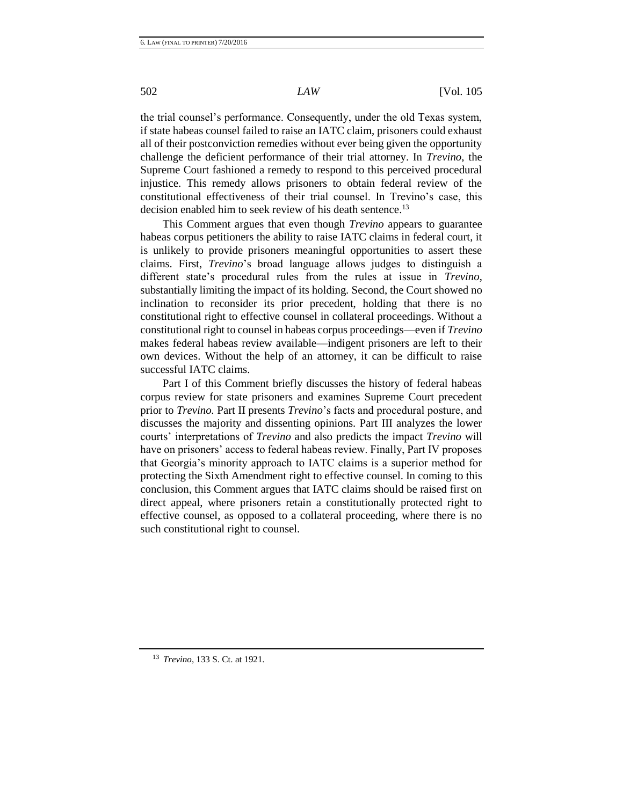the trial counsel's performance. Consequently, under the old Texas system, if state habeas counsel failed to raise an IATC claim, prisoners could exhaust all of their postconviction remedies without ever being given the opportunity challenge the deficient performance of their trial attorney. In *Trevino*, the Supreme Court fashioned a remedy to respond to this perceived procedural injustice. This remedy allows prisoners to obtain federal review of the constitutional effectiveness of their trial counsel. In Trevino's case, this decision enabled him to seek review of his death sentence.<sup>13</sup>

This Comment argues that even though *Trevino* appears to guarantee habeas corpus petitioners the ability to raise IATC claims in federal court, it is unlikely to provide prisoners meaningful opportunities to assert these claims. First, *Trevino*'s broad language allows judges to distinguish a different state's procedural rules from the rules at issue in *Trevino*, substantially limiting the impact of its holding*.* Second, the Court showed no inclination to reconsider its prior precedent, holding that there is no constitutional right to effective counsel in collateral proceedings. Without a constitutional right to counsel in habeas corpus proceedings—even if *Trevino*  makes federal habeas review available—indigent prisoners are left to their own devices. Without the help of an attorney, it can be difficult to raise successful IATC claims.

Part I of this Comment briefly discusses the history of federal habeas corpus review for state prisoners and examines Supreme Court precedent prior to *Trevino.* Part II presents *Trevino*'s facts and procedural posture, and discusses the majority and dissenting opinions. Part III analyzes the lower courts' interpretations of *Trevino* and also predicts the impact *Trevino* will have on prisoners' access to federal habeas review. Finally, Part IV proposes that Georgia's minority approach to IATC claims is a superior method for protecting the Sixth Amendment right to effective counsel. In coming to this conclusion, this Comment argues that IATC claims should be raised first on direct appeal, where prisoners retain a constitutionally protected right to effective counsel, as opposed to a collateral proceeding, where there is no such constitutional right to counsel.

<sup>13</sup> *Trevino*, 133 S. Ct. at 1921.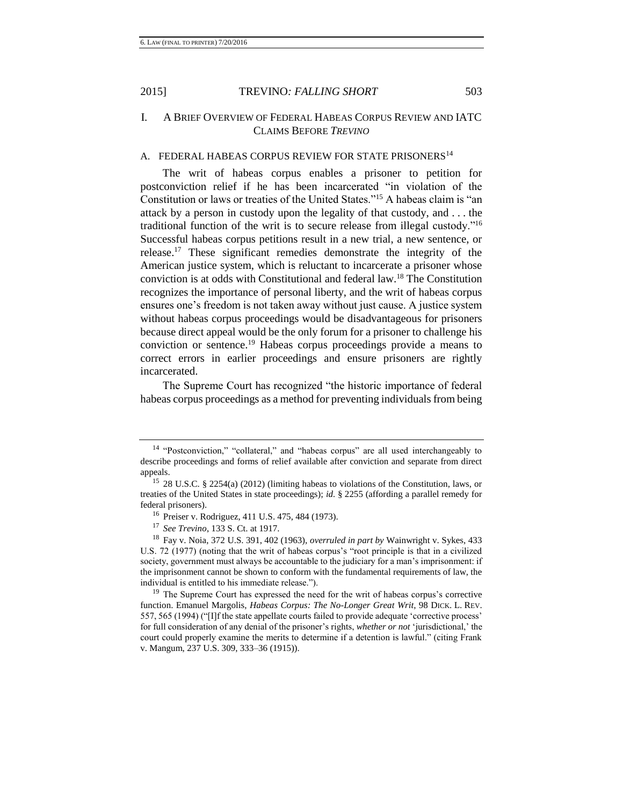# I. A BRIEF OVERVIEW OF FEDERAL HABEAS CORPUS REVIEW AND IATC CLAIMS BEFORE *TREVINO*

# A. FEDERAL HABEAS CORPUS REVIEW FOR STATE PRISONERS<sup>14</sup>

The writ of habeas corpus enables a prisoner to petition for postconviction relief if he has been incarcerated "in violation of the Constitution or laws or treaties of the United States."<sup>15</sup> A habeas claim is "an attack by a person in custody upon the legality of that custody, and . . . the traditional function of the writ is to secure release from illegal custody."<sup>16</sup> Successful habeas corpus petitions result in a new trial, a new sentence, or release.<sup>17</sup> These significant remedies demonstrate the integrity of the American justice system, which is reluctant to incarcerate a prisoner whose conviction is at odds with Constitutional and federal law.<sup>18</sup> The Constitution recognizes the importance of personal liberty, and the writ of habeas corpus ensures one's freedom is not taken away without just cause. A justice system without habeas corpus proceedings would be disadvantageous for prisoners because direct appeal would be the only forum for a prisoner to challenge his conviction or sentence.<sup>19</sup> Habeas corpus proceedings provide a means to correct errors in earlier proceedings and ensure prisoners are rightly incarcerated.

The Supreme Court has recognized "the historic importance of federal habeas corpus proceedings as a method for preventing individuals from being

<sup>&</sup>lt;sup>14</sup> "Postconviction," "collateral," and "habeas corpus" are all used interchangeably to describe proceedings and forms of relief available after conviction and separate from direct appeals.

<sup>15</sup> 28 U.S.C. § 2254(a) (2012) (limiting habeas to violations of the Constitution, laws, or treaties of the United States in state proceedings); *id.* § 2255 (affording a parallel remedy for federal prisoners).

<sup>16</sup> Preiser v. Rodriguez, 411 U.S. 475, 484 (1973).

<sup>17</sup> *See Trevino*, 133 S. Ct. at 1917.

<sup>18</sup> Fay v. Noia, 372 U.S. 391, 402 (1963), *overruled in part by* Wainwright v. Sykes, 433 U.S. 72 (1977) (noting that the writ of habeas corpus's "root principle is that in a civilized society, government must always be accountable to the judiciary for a man's imprisonment: if the imprisonment cannot be shown to conform with the fundamental requirements of law, the individual is entitled to his immediate release.").

<sup>&</sup>lt;sup>19</sup> The Supreme Court has expressed the need for the writ of habeas corpus's corrective function. Emanuel Margolis, *Habeas Corpus: The No-Longer Great Writ*, 98 DICK. L. REV. 557, 565 (1994) ("[I]f the state appellate courts failed to provide adequate 'corrective process' for full consideration of any denial of the prisoner's rights, *whether or not* 'jurisdictional,' the court could properly examine the merits to determine if a detention is lawful." (citing Frank v. Mangum, 237 U.S. 309, 333–36 (1915)).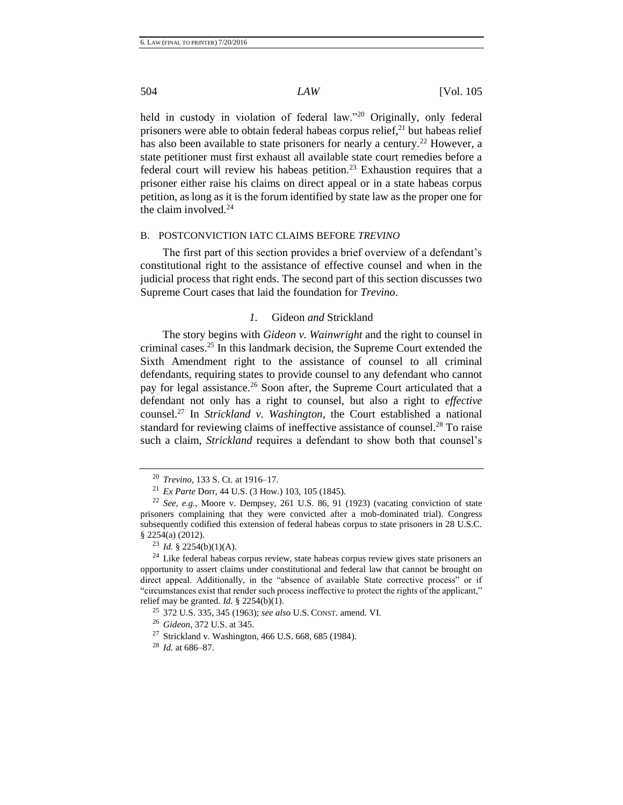held in custody in violation of federal law."<sup>20</sup> Originally, only federal prisoners were able to obtain federal habeas corpus relief, $^{21}$  but habeas relief has also been available to state prisoners for nearly a century.<sup>22</sup> However, a state petitioner must first exhaust all available state court remedies before a federal court will review his habeas petition.<sup>23</sup> Exhaustion requires that a prisoner either raise his claims on direct appeal or in a state habeas corpus petition, as long as it is the forum identified by state law as the proper one for the claim involved. $24$ 

### B. POSTCONVICTION IATC CLAIMS BEFORE *TREVINO*

The first part of this section provides a brief overview of a defendant's constitutional right to the assistance of effective counsel and when in the judicial process that right ends. The second part of this section discusses two Supreme Court cases that laid the foundation for *Trevino*.

# *1.* Gideon *and* Strickland

The story begins with *Gideon v. Wainwright* and the right to counsel in criminal cases.<sup>25</sup> In this landmark decision, the Supreme Court extended the Sixth Amendment right to the assistance of counsel to all criminal defendants, requiring states to provide counsel to any defendant who cannot pay for legal assistance.<sup>26</sup> Soon after, the Supreme Court articulated that a defendant not only has a right to counsel, but also a right to *effective* counsel.<sup>27</sup> In *Strickland v. Washington*, the Court established a national standard for reviewing claims of ineffective assistance of counsel.<sup>28</sup> To raise such a claim, *Strickland* requires a defendant to show both that counsel's

<sup>20</sup> *Trevino*, 133 S. Ct. at 1916–17.

<sup>21</sup> *Ex Parte* Dorr, 44 U.S. (3 How.) 103, 105 (1845).

<sup>22</sup> *See, e.g.*, Moore v. Dempsey, 261 U.S. 86, 91 (1923) (vacating conviction of state prisoners complaining that they were convicted after a mob-dominated trial). Congress subsequently codified this extension of federal habeas corpus to state prisoners in 28 U.S.C. § 2254(a) (2012).

<sup>23</sup> *Id.* § 2254(b)(1)(A).

<sup>&</sup>lt;sup>24</sup> Like federal habeas corpus review, state habeas corpus review gives state prisoners an opportunity to assert claims under constitutional and federal law that cannot be brought on direct appeal. Additionally, in the "absence of available State corrective process" or if "circumstances exist that render such process ineffective to protect the rights of the applicant," relief may be granted.  $Id. \S$  2254(b)(1).

<sup>25</sup> 372 U.S. 335, 345 (1963); *see also* U.S. CONST. amend. VI.

<sup>26</sup> *Gideon*, 372 U.S. at 345.

<sup>&</sup>lt;sup>27</sup> Strickland v. Washington, 466 U.S. 668, 685 (1984).

<sup>28</sup> *Id.* at 686–87.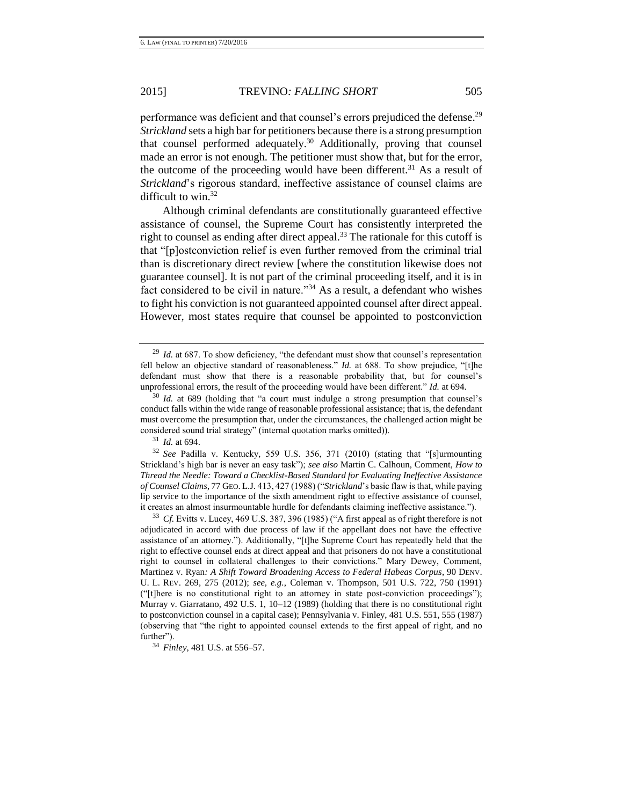performance was deficient and that counsel's errors prejudiced the defense.<sup>29</sup> *Strickland* sets a high bar for petitioners because there is a strong presumption that counsel performed adequately.<sup>30</sup> Additionally, proving that counsel made an error is not enough. The petitioner must show that, but for the error, the outcome of the proceeding would have been different.<sup>31</sup> As a result of *Strickland*'s rigorous standard, ineffective assistance of counsel claims are difficult to win.<sup>32</sup>

<span id="page-7-0"></span>Although criminal defendants are constitutionally guaranteed effective assistance of counsel, the Supreme Court has consistently interpreted the right to counsel as ending after direct appeal.<sup>33</sup> The rationale for this cutoff is that "[p]ostconviction relief is even further removed from the criminal trial than is discretionary direct review [where the constitution likewise does not guarantee counsel]. It is not part of the criminal proceeding itself, and it is in fact considered to be civil in nature."<sup>34</sup> As a result, a defendant who wishes to fight his conviction is not guaranteed appointed counsel after direct appeal. However, most states require that counsel be appointed to postconviction

<sup>31</sup> *Id.* at 694.

<sup>33</sup> *Cf.* Evitts v. Lucey, 469 U.S. 387, 396 (1985) ("A first appeal as of right therefore is not adjudicated in accord with due process of law if the appellant does not have the effective assistance of an attorney."). Additionally, "[t]he Supreme Court has repeatedly held that the right to effective counsel ends at direct appeal and that prisoners do not have a constitutional right to counsel in collateral challenges to their convictions." Mary Dewey, Comment, Martinez v. Ryan*: A Shift Toward Broadening Access to Federal Habeas Corpus*, 90 DENV. U. L. REV. 269, 275 (2012); *see, e.g.*, Coleman v. Thompson, 501 U.S. 722, 750 (1991) ("[t]here is no constitutional right to an attorney in state post-conviction proceedings"); Murray v. Giarratano, 492 U.S. 1, 10–12 (1989) (holding that there is no constitutional right to postconviction counsel in a capital case); Pennsylvania v. Finley, 481 U.S. 551, 555 (1987) (observing that "the right to appointed counsel extends to the first appeal of right, and no further").

<sup>&</sup>lt;sup>29</sup> *Id.* at 687. To show deficiency, "the defendant must show that counsel's representation fell below an objective standard of reasonableness." *Id.* at 688. To show prejudice, "[t]he defendant must show that there is a reasonable probability that, but for counsel's unprofessional errors, the result of the proceeding would have been different." *Id.* at 694.

<sup>&</sup>lt;sup>30</sup> *Id.* at 689 (holding that "a court must indulge a strong presumption that counsel's conduct falls within the wide range of reasonable professional assistance; that is, the defendant must overcome the presumption that, under the circumstances, the challenged action might be considered sound trial strategy" (internal quotation marks omitted)).

<sup>32</sup> *See* Padilla v. Kentucky, 559 U.S. 356, 371 (2010) (stating that "[s]urmounting Strickland's high bar is never an easy task"); *see also* Martin C. Calhoun, Comment, *How to Thread the Needle: Toward a Checklist-Based Standard for Evaluating Ineffective Assistance of Counsel Claims*, 77 GEO. L.J. 413, 427 (1988) ("*Strickland*'s basic flaw is that, while paying lip service to the importance of the sixth amendment right to effective assistance of counsel, it creates an almost insurmountable hurdle for defendants claiming ineffective assistance.").

<sup>34</sup> *Finley*, 481 U.S. at 556–57.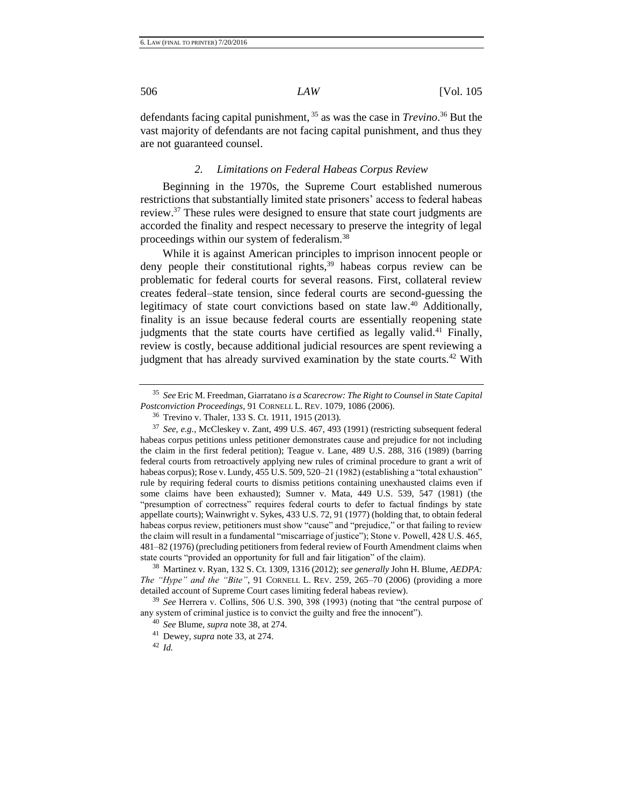defendants facing capital punishment, <sup>35</sup> as was the case in *Trevino*. <sup>36</sup> But the vast majority of defendants are not facing capital punishment, and thus they are not guaranteed counsel.

#### <span id="page-8-1"></span><span id="page-8-0"></span>*2. Limitations on Federal Habeas Corpus Review*

Beginning in the 1970s, the Supreme Court established numerous restrictions that substantially limited state prisoners' access to federal habeas review.<sup>37</sup> These rules were designed to ensure that state court judgments are accorded the finality and respect necessary to preserve the integrity of legal proceedings within our system of federalism.<sup>38</sup>

While it is against American principles to imprison innocent people or deny people their constitutional rights, $39$  habeas corpus review can be problematic for federal courts for several reasons. First, collateral review creates federal–state tension, since federal courts are second-guessing the legitimacy of state court convictions based on state law.<sup>40</sup> Additionally, finality is an issue because federal courts are essentially reopening state judgments that the state courts have certified as legally valid.<sup>41</sup> Finally, review is costly, because additional judicial resources are spent reviewing a judgment that has already survived examination by the state courts.<sup>42</sup> With

<sup>38</sup> Martinez v. Ryan, 132 S. Ct. 1309, 1316 (2012); *see generally* John H. Blume, *AEDPA: The "Hype" and the "Bite"*, 91 CORNELL L. REV. 259, 265–70 (2006) (providing a more detailed account of Supreme Court cases limiting federal habeas review).

<sup>39</sup> *See* Herrera v. Collins, 506 U.S. 390, 398 (1993) (noting that "the central purpose of any system of criminal justice is to convict the guilty and free the innocent").

<sup>35</sup> *See* Eric M. Freedman, Giarratano *is a Scarecrow: The Right to Counsel in State Capital Postconviction Proceedings*, 91 CORNELL L. REV. 1079, 1086 (2006).

<sup>36</sup> Trevino v. Thaler, 133 S. Ct. 1911, 1915 (2013).

<sup>37</sup> *See, e.g.*, McCleskey v. Zant, 499 U.S. 467, 493 (1991) (restricting subsequent federal habeas corpus petitions unless petitioner demonstrates cause and prejudice for not including the claim in the first federal petition); Teague v. Lane, 489 U.S. 288, 316 (1989) (barring federal courts from retroactively applying new rules of criminal procedure to grant a writ of habeas corpus); Rose v. Lundy, 455 U.S. 509, 520–21 (1982) (establishing a "total exhaustion" rule by requiring federal courts to dismiss petitions containing unexhausted claims even if some claims have been exhausted); Sumner v. Mata, 449 U.S. 539, 547 (1981) (the "presumption of correctness" requires federal courts to defer to factual findings by state appellate courts); Wainwright v. Sykes, 433 U.S. 72, 91 (1977) (holding that, to obtain federal habeas corpus review, petitioners must show "cause" and "prejudice," or that failing to review the claim will result in a fundamental "miscarriage of justice"); Stone v. Powell, 428 U.S. 465, 481–82 (1976) (precluding petitioners from federal review of Fourth Amendment claims when state courts "provided an opportunity for full and fair litigation" of the claim).

<sup>40</sup> *See* Blume, *supra* not[e 38,](#page-8-0) at 274.

<sup>41</sup> Dewey, *supra* note [33,](#page-7-0) at 274.

<sup>42</sup> *Id.*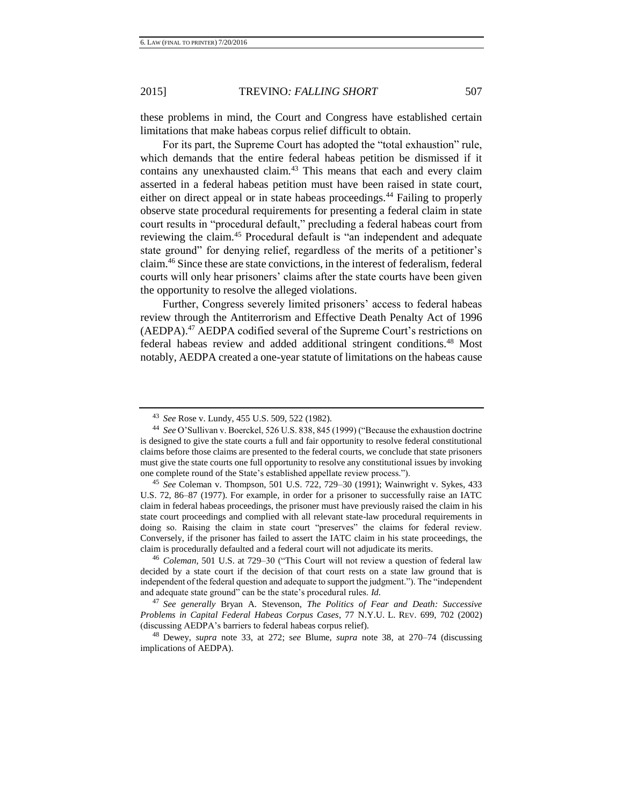these problems in mind, the Court and Congress have established certain limitations that make habeas corpus relief difficult to obtain.

For its part, the Supreme Court has adopted the "total exhaustion" rule, which demands that the entire federal habeas petition be dismissed if it contains any unexhausted claim.<sup>43</sup> This means that each and every claim asserted in a federal habeas petition must have been raised in state court, either on direct appeal or in state habeas proceedings.<sup>44</sup> Failing to properly observe state procedural requirements for presenting a federal claim in state court results in "procedural default," precluding a federal habeas court from reviewing the claim.<sup>45</sup> Procedural default is "an independent and adequate state ground" for denying relief, regardless of the merits of a petitioner's claim.<sup>46</sup> Since these are state convictions, in the interest of federalism, federal courts will only hear prisoners' claims after the state courts have been given the opportunity to resolve the alleged violations.

Further, Congress severely limited prisoners' access to federal habeas review through the Antiterrorism and Effective Death Penalty Act of 1996 (AEDPA).<sup>47</sup> AEDPA codified several of the Supreme Court's restrictions on federal habeas review and added additional stringent conditions.<sup>48</sup> Most notably, AEDPA created a one-year statute of limitations on the habeas cause

<sup>43</sup> *See* Rose v. Lundy, 455 U.S. 509, 522 (1982).

<sup>44</sup> *See* O'Sullivan v. Boerckel, 526 U.S. 838, 845 (1999) ("Because the exhaustion doctrine is designed to give the state courts a full and fair opportunity to resolve federal constitutional claims before those claims are presented to the federal courts, we conclude that state prisoners must give the state courts one full opportunity to resolve any constitutional issues by invoking one complete round of the State's established appellate review process.").

<sup>45</sup> *See* Coleman v. Thompson, 501 U.S. 722, 729–30 (1991); Wainwright v. Sykes, 433 U.S. 72, 86–87 (1977). For example, in order for a prisoner to successfully raise an IATC claim in federal habeas proceedings, the prisoner must have previously raised the claim in his state court proceedings and complied with all relevant state-law procedural requirements in doing so. Raising the claim in state court "preserves" the claims for federal review. Conversely, if the prisoner has failed to assert the IATC claim in his state proceedings, the claim is procedurally defaulted and a federal court will not adjudicate its merits.

<sup>46</sup> *Coleman*, 501 U.S. at 729–30 ("This Court will not review a question of federal law decided by a state court if the decision of that court rests on a state law ground that is independent of the federal question and adequate to support the judgment."). The "independent and adequate state ground" can be the state's procedural rules. *Id.*

<sup>47</sup> *See generally* Bryan A. Stevenson, *The Politics of Fear and Death: Successive Problems in Capital Federal Habeas Corpus Cases*, 77 N.Y.U. L. REV. 699, 702 (2002) (discussing AEDPA's barriers to federal habeas corpus relief).

<sup>48</sup> Dewey, *supra* note [33,](#page-7-0) at 272; s*ee* Blume, *supra* note [38,](#page-8-0) at 270–74 (discussing implications of AEDPA).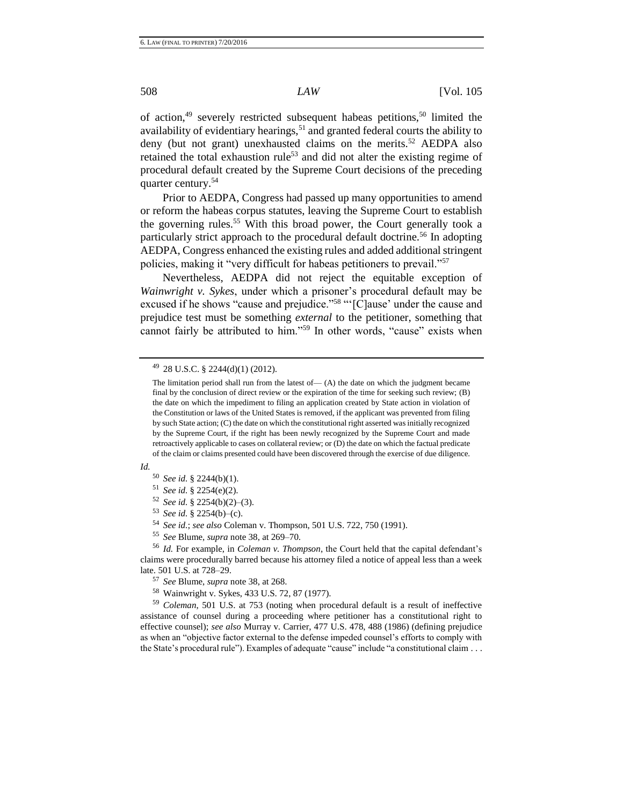of action, $49$  severely restricted subsequent habeas petitions, $50$  limited the availability of evidentiary hearings,<sup>51</sup> and granted federal courts the ability to deny (but not grant) unexhausted claims on the merits.<sup>52</sup> AEDPA also retained the total exhaustion rule<sup>53</sup> and did not alter the existing regime of procedural default created by the Supreme Court decisions of the preceding quarter century.<sup>54</sup>

Prior to AEDPA, Congress had passed up many opportunities to amend or reform the habeas corpus statutes, leaving the Supreme Court to establish the governing rules.<sup>55</sup> With this broad power, the Court generally took a particularly strict approach to the procedural default doctrine.<sup>56</sup> In adopting AEDPA, Congress enhanced the existing rules and added additional stringent policies, making it "very difficult for habeas petitioners to prevail."<sup>57</sup>

Nevertheless, AEDPA did not reject the equitable exception of *Wainwright v. Sykes*, under which a prisoner's procedural default may be excused if he shows "cause and prejudice."<sup>58</sup> "'[C]ause' under the cause and prejudice test must be something *external* to the petitioner, something that cannot fairly be attributed to him."<sup>59</sup> In other words, "cause" exists when

 $49$  28 U.S.C. § 2244(d)(1) (2012).

*Id.*

- <sup>54</sup> *See id.*; *see also* Coleman v. Thompson, 501 U.S. 722, 750 (1991).
- <sup>55</sup> *See* Blume, *supra* not[e 38,](#page-8-0) at 269–70.

<sup>56</sup> *Id.* For example, in *Coleman v. Thompson*, the Court held that the capital defendant's claims were procedurally barred because his attorney filed a notice of appeal less than a week late. 501 U.S. at 728–29.

<sup>58</sup> Wainwright v. Sykes, 433 U.S. 72, 87 (1977).

<sup>59</sup> *Coleman*, 501 U.S. at 753 (noting when procedural default is a result of ineffective assistance of counsel during a proceeding where petitioner has a constitutional right to effective counsel); *see also* Murray v. Carrier, 477 U.S. 478, 488 (1986) (defining prejudice as when an "objective factor external to the defense impeded counsel's efforts to comply with the State's procedural rule"). Examples of adequate "cause" include "a constitutional claim . . .

The limitation period shall run from the latest of  $-$  (A) the date on which the judgment became final by the conclusion of direct review or the expiration of the time for seeking such review; (B) the date on which the impediment to filing an application created by State action in violation of the Constitution or laws of the United States is removed, if the applicant was prevented from filing by such State action; (C) the date on which the constitutional right asserted was initially recognized by the Supreme Court, if the right has been newly recognized by the Supreme Court and made retroactively applicable to cases on collateral review; or (D) the date on which the factual predicate of the claim or claims presented could have been discovered through the exercise of due diligence.

<sup>50</sup> *See id.* § 2244(b)(1).

<sup>51</sup> *See id.* § 2254(e)(2).

<sup>52</sup> *See id.* § 2254(b)(2)–(3).

<sup>53</sup> *See id.* § 2254(b)–(c).

<sup>57</sup> *See* Blume, *supra* not[e 38,](#page-8-0) at 268.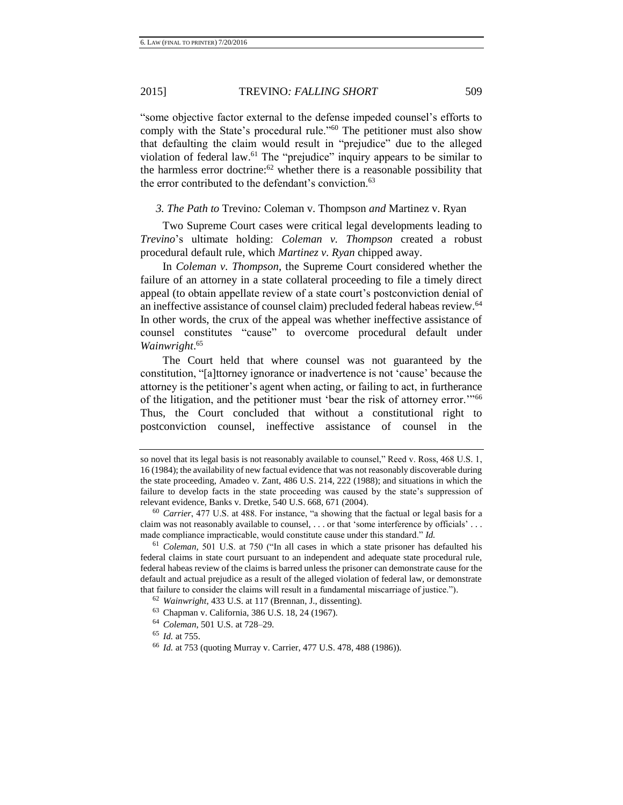"some objective factor external to the defense impeded counsel's efforts to comply with the State's procedural rule."<sup>60</sup> The petitioner must also show that defaulting the claim would result in "prejudice" due to the alleged violation of federal law.<sup>61</sup> The "prejudice" inquiry appears to be similar to the harmless error doctrine: $62$  whether there is a reasonable possibility that the error contributed to the defendant's conviction.<sup>63</sup>

*3. The Path to* Trevino*:* Coleman v. Thompson *and* Martinez v. Ryan

Two Supreme Court cases were critical legal developments leading to *Trevino*'s ultimate holding: *Coleman v. Thompson* created a robust procedural default rule, which *Martinez v. Ryan* chipped away.

In *Coleman v. Thompson*, the Supreme Court considered whether the failure of an attorney in a state collateral proceeding to file a timely direct appeal (to obtain appellate review of a state court's postconviction denial of an ineffective assistance of counsel claim) precluded federal habeas review.<sup>64</sup> In other words, the crux of the appeal was whether ineffective assistance of counsel constitutes "cause" to overcome procedural default under *Wainwright*. 65

The Court held that where counsel was not guaranteed by the constitution, "[a]ttorney ignorance or inadvertence is not 'cause' because the attorney is the petitioner's agent when acting, or failing to act, in furtherance of the litigation, and the petitioner must 'bear the risk of attorney error.'"<sup>66</sup> Thus, the Court concluded that without a constitutional right to postconviction counsel, ineffective assistance of counsel in the

so novel that its legal basis is not reasonably available to counsel," Reed v. Ross, 468 U.S. 1, 16 (1984); the availability of new factual evidence that was not reasonably discoverable during the state proceeding, Amadeo v. Zant, 486 U.S. 214, 222 (1988); and situations in which the failure to develop facts in the state proceeding was caused by the state's suppression of relevant evidence, Banks v. Dretke, 540 U.S. 668, 671 (2004).

<sup>60</sup> *Carrier*, 477 U.S. at 488. For instance, "a showing that the factual or legal basis for a claim was not reasonably available to counsel, . . . or that 'some interference by officials' . . . made compliance impracticable, would constitute cause under this standard." *Id.*

<sup>61</sup> *Coleman,* 501 U.S. at 750 ("In all cases in which a state prisoner has defaulted his federal claims in state court pursuant to an independent and adequate state procedural rule, federal habeas review of the claims is barred unless the prisoner can demonstrate cause for the default and actual prejudice as a result of the alleged violation of federal law, or demonstrate that failure to consider the claims will result in a fundamental miscarriage of justice.").

<sup>62</sup> *Wainwright*, 433 U.S. at 117 (Brennan, J., dissenting).

<sup>63</sup> Chapman v. California, 386 U.S. 18, 24 (1967).

<sup>64</sup> *Coleman*, 501 U.S. at 728–29.

<sup>65</sup> *Id.* at 755.

<sup>66</sup> *Id.* at 753 (quoting Murray v. Carrier, 477 U.S. 478, 488 (1986)).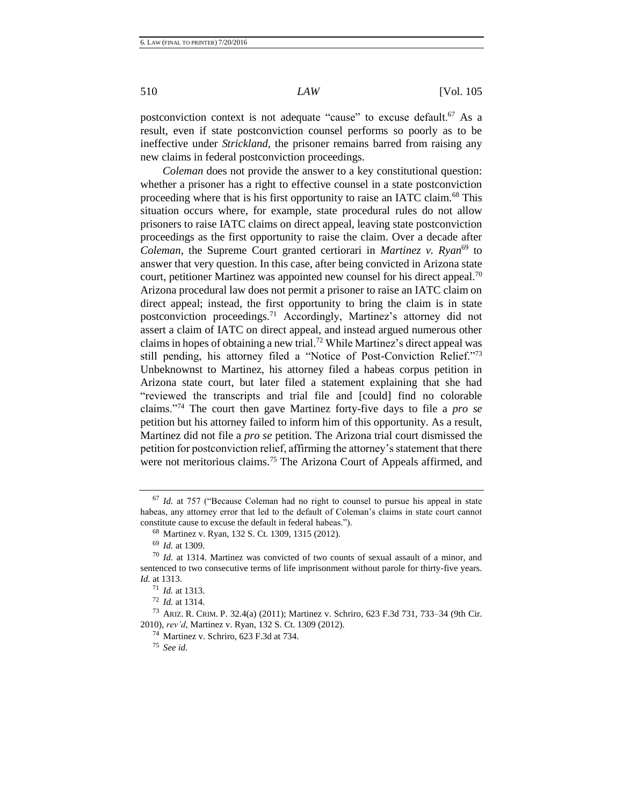postconviction context is not adequate "cause" to excuse default.<sup>67</sup> As a result, even if state postconviction counsel performs so poorly as to be ineffective under *Strickland*, the prisoner remains barred from raising any new claims in federal postconviction proceedings.

*Coleman* does not provide the answer to a key constitutional question: whether a prisoner has a right to effective counsel in a state postconviction proceeding where that is his first opportunity to raise an IATC claim.<sup>68</sup> This situation occurs where, for example, state procedural rules do not allow prisoners to raise IATC claims on direct appeal, leaving state postconviction proceedings as the first opportunity to raise the claim. Over a decade after *Coleman*, the Supreme Court granted certiorari in *Martinez v. Ryan*<sup>69</sup> to answer that very question. In this case, after being convicted in Arizona state court, petitioner Martinez was appointed new counsel for his direct appeal.<sup>70</sup> Arizona procedural law does not permit a prisoner to raise an IATC claim on direct appeal; instead, the first opportunity to bring the claim is in state postconviction proceedings.<sup>71</sup> Accordingly, Martinez's attorney did not assert a claim of IATC on direct appeal, and instead argued numerous other claims in hopes of obtaining a new trial.<sup>72</sup> While Martinez's direct appeal was still pending, his attorney filed a "Notice of Post-Conviction Relief."<sup>73</sup> Unbeknownst to Martinez, his attorney filed a habeas corpus petition in Arizona state court, but later filed a statement explaining that she had "reviewed the transcripts and trial file and [could] find no colorable claims."<sup>74</sup> The court then gave Martinez forty-five days to file a *pro se* petition but his attorney failed to inform him of this opportunity. As a result, Martinez did not file a *pro se* petition. The Arizona trial court dismissed the petition for postconviction relief, affirming the attorney's statement that there were not meritorious claims.<sup>75</sup> The Arizona Court of Appeals affirmed, and

<sup>67</sup> *Id.* at 757 ("Because Coleman had no right to counsel to pursue his appeal in state habeas, any attorney error that led to the default of Coleman's claims in state court cannot constitute cause to excuse the default in federal habeas.").

<sup>68</sup> Martinez v. Ryan, 132 S. Ct. 1309, 1315 (2012).

<sup>69</sup> *Id.* at 1309.

<sup>70</sup> *Id.* at 1314. Martinez was convicted of two counts of sexual assault of a minor, and sentenced to two consecutive terms of life imprisonment without parole for thirty-five years. *Id.* at 1313.

<sup>71</sup> *Id.* at 1313.

<sup>72</sup> *Id.* at 1314.

<sup>73</sup> ARIZ. R. CRIM. P. 32.4(a) (2011); Martinez v. Schriro, 623 F.3d 731, 733–34 (9th Cir. 2010), *rev'd*, Martinez v. Ryan, 132 S. Ct. 1309 (2012).

<sup>74</sup> Martinez v. Schriro, 623 F.3d at 734.

<sup>75</sup> *See id.*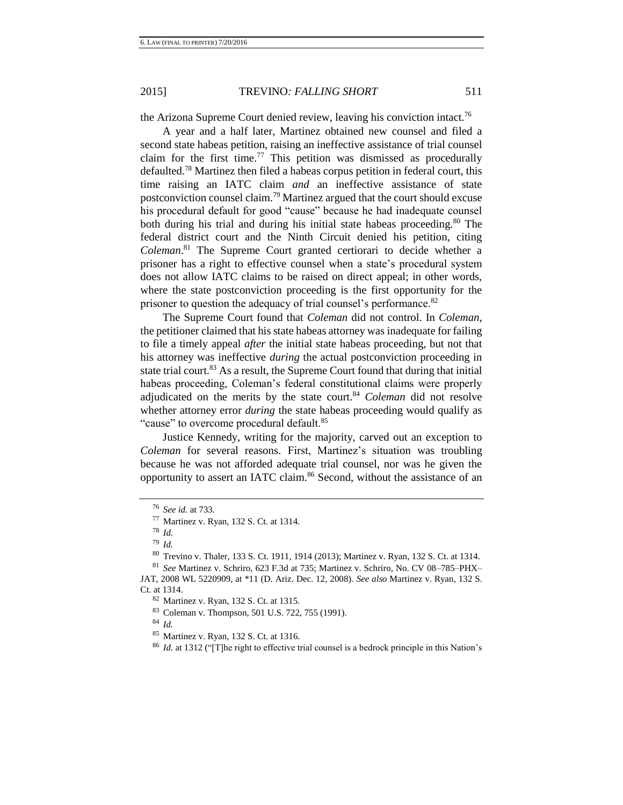the Arizona Supreme Court denied review, leaving his conviction intact.<sup>76</sup>

A year and a half later, Martinez obtained new counsel and filed a second state habeas petition, raising an ineffective assistance of trial counsel claim for the first time.<sup>77</sup> This petition was dismissed as procedurally defaulted.<sup>78</sup> Martinez then filed a habeas corpus petition in federal court, this time raising an IATC claim *and* an ineffective assistance of state postconviction counsel claim.<sup>79</sup> Martinez argued that the court should excuse his procedural default for good "cause" because he had inadequate counsel both during his trial and during his initial state habeas proceeding.<sup>80</sup> The federal district court and the Ninth Circuit denied his petition, citing *Coleman*. <sup>81</sup> The Supreme Court granted certiorari to decide whether a prisoner has a right to effective counsel when a state's procedural system does not allow IATC claims to be raised on direct appeal; in other words, where the state postconviction proceeding is the first opportunity for the prisoner to question the adequacy of trial counsel's performance.<sup>82</sup>

The Supreme Court found that *Coleman* did not control. In *Coleman*, the petitioner claimed that his state habeas attorney was inadequate for failing to file a timely appeal *after* the initial state habeas proceeding, but not that his attorney was ineffective *during* the actual postconviction proceeding in state trial court.<sup>83</sup> As a result, the Supreme Court found that during that initial habeas proceeding, Coleman's federal constitutional claims were properly adjudicated on the merits by the state court.<sup>84</sup> *Coleman* did not resolve whether attorney error *during* the state habeas proceeding would qualify as "cause" to overcome procedural default.<sup>85</sup>

Justice Kennedy, writing for the majority, carved out an exception to *Coleman* for several reasons*.* First, Martinez's situation was troubling because he was not afforded adequate trial counsel, nor was he given the opportunity to assert an IATC claim.<sup>86</sup> Second, without the assistance of an

<sup>76</sup> *See id.* at 733.

<sup>77</sup> Martinez v. Ryan, 132 S. Ct. at 1314.

<sup>78</sup> *Id.*

<sup>79</sup> *Id.*

<sup>80</sup> Trevino v. Thaler, 133 S. Ct. 1911, 1914 (2013); Martinez v. Ryan, 132 S. Ct. at 1314.

<sup>81</sup> *See* Martinez v. Schriro, 623 F.3d at 735; Martinez v. Schriro, No. CV 08–785–PHX– JAT, 2008 WL 5220909, at \*11 (D. Ariz. Dec. 12, 2008). *See also* Martinez v. Ryan*,* 132 S. Ct. at 1314.

<sup>82</sup> Martinez v. Ryan, 132 S. Ct. at 1315.

<sup>83</sup> Coleman v. Thompson, 501 U.S. 722, 755 (1991).

<sup>84</sup> *Id.*

<sup>85</sup> Martinez v. Ryan, 132 S. Ct. at 1316.

<sup>86</sup> *Id.* at 1312 ("[T]he right to effective trial counsel is a bedrock principle in this Nation's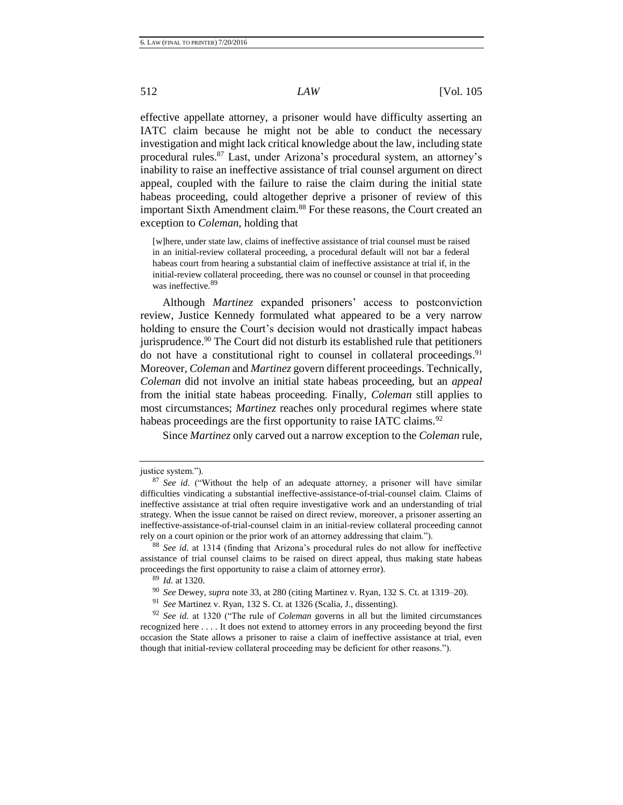effective appellate attorney, a prisoner would have difficulty asserting an IATC claim because he might not be able to conduct the necessary investigation and might lack critical knowledge about the law, including state procedural rules.<sup>87</sup> Last, under Arizona's procedural system, an attorney's inability to raise an ineffective assistance of trial counsel argument on direct appeal, coupled with the failure to raise the claim during the initial state habeas proceeding, could altogether deprive a prisoner of review of this important Sixth Amendment claim.<sup>88</sup> For these reasons, the Court created an exception to *Coleman*, holding that

[w]here, under state law, claims of ineffective assistance of trial counsel must be raised in an initial-review collateral proceeding, a procedural default will not bar a federal habeas court from hearing a substantial claim of ineffective assistance at trial if, in the initial-review collateral proceeding, there was no counsel or counsel in that proceeding was ineffective.<sup>89</sup>

Although *Martinez* expanded prisoners' access to postconviction review, Justice Kennedy formulated what appeared to be a very narrow holding to ensure the Court's decision would not drastically impact habeas jurisprudence.<sup>90</sup> The Court did not disturb its established rule that petitioners do not have a constitutional right to counsel in collateral proceedings.<sup>91</sup> Moreover, *Coleman* and *Martinez* govern different proceedings. Technically, *Coleman* did not involve an initial state habeas proceeding, but an *appeal* from the initial state habeas proceeding. Finally, *Coleman* still applies to most circumstances; *Martinez* reaches only procedural regimes where state habeas proceedings are the first opportunity to raise IATC claims.<sup>92</sup>

Since *Martinez* only carved out a narrow exception to the *Coleman* rule,

<sup>90</sup> *See* Dewey, *supra* not[e 33,](#page-7-0) at 280 (citing Martinez v. Ryan, 132 S. Ct. at 1319–20).

justice system.").

<sup>87</sup> *See id.* ("Without the help of an adequate attorney, a prisoner will have similar difficulties vindicating a substantial ineffective-assistance-of-trial-counsel claim. Claims of ineffective assistance at trial often require investigative work and an understanding of trial strategy. When the issue cannot be raised on direct review, moreover, a prisoner asserting an ineffective-assistance-of-trial-counsel claim in an initial-review collateral proceeding cannot rely on a court opinion or the prior work of an attorney addressing that claim.").

<sup>88</sup> *See id.* at 1314 (finding that Arizona's procedural rules do not allow for ineffective assistance of trial counsel claims to be raised on direct appeal, thus making state habeas proceedings the first opportunity to raise a claim of attorney error).

<sup>89</sup> *Id.* at 1320.

<sup>91</sup> *See* Martinez v. Ryan, 132 S. Ct. at 1326 (Scalia, J., dissenting).

<sup>92</sup> *See id.* at 1320 ("The rule of *Coleman* governs in all but the limited circumstances recognized here . . . . It does not extend to attorney errors in any proceeding beyond the first occasion the State allows a prisoner to raise a claim of ineffective assistance at trial, even though that initial-review collateral proceeding may be deficient for other reasons.").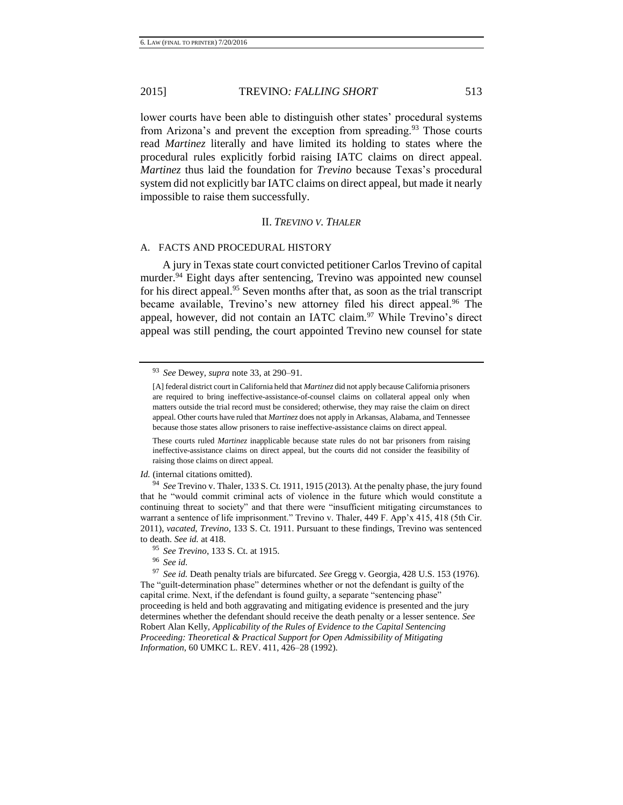lower courts have been able to distinguish other states' procedural systems from Arizona's and prevent the exception from spreading.<sup>93</sup> Those courts read *Martinez* literally and have limited its holding to states where the procedural rules explicitly forbid raising IATC claims on direct appeal. *Martinez* thus laid the foundation for *Trevino* because Texas's procedural system did not explicitly bar IATC claims on direct appeal, but made it nearly impossible to raise them successfully.

## II. *TREVINO V. THALER*

#### A. FACTS AND PROCEDURAL HISTORY

A jury in Texas state court convicted petitioner Carlos Trevino of capital murder.<sup>94</sup> Eight days after sentencing, Trevino was appointed new counsel for his direct appeal.<sup>95</sup> Seven months after that, as soon as the trial transcript became available, Trevino's new attorney filed his direct appeal.<sup>96</sup> The appeal, however, did not contain an IATC claim.<sup>97</sup> While Trevino's direct appeal was still pending, the court appointed Trevino new counsel for state

These courts ruled *Martinez* inapplicable because state rules do not bar prisoners from raising ineffective-assistance claims on direct appeal, but the courts did not consider the feasibility of raising those claims on direct appeal.

*Id.* (internal citations omitted).

<sup>93</sup> *See* Dewey, *supra* not[e 33,](#page-7-0) at 290–91.

<sup>[</sup>A] federal district court in California held that *Martinez* did not apply because California prisoners are required to bring ineffective-assistance-of-counsel claims on collateral appeal only when matters outside the trial record must be considered; otherwise, they may raise the claim on direct appeal. Other courts have ruled that *Martinez* does not apply in Arkansas, Alabama, and Tennessee because those states allow prisoners to raise ineffective-assistance claims on direct appeal.

<sup>94</sup> *See* Trevino v. Thaler, 133 S. Ct. 1911, 1915 (2013). At the penalty phase, the jury found that he "would commit criminal acts of violence in the future which would constitute a continuing threat to society" and that there were "insufficient mitigating circumstances to warrant a sentence of life imprisonment." Trevino v. Thaler, 449 F. App'x 415, 418 (5th Cir. 2011), *vacated*, *Trevino*, 133 S. Ct. 1911. Pursuant to these findings, Trevino was sentenced to death. *See id.* at 418.

<sup>95</sup> *See Trevino*, 133 S. Ct. at 1915.

<sup>96</sup> *See id.*

<sup>97</sup> *See id.* Death penalty trials are bifurcated. *See* Gregg v. Georgia, 428 U.S. 153 (1976). The "guilt-determination phase" determines whether or not the defendant is guilty of the capital crime. Next, if the defendant is found guilty, a separate "sentencing phase" proceeding is held and both aggravating and mitigating evidence is presented and the jury determines whether the defendant should receive the death penalty or a lesser sentence. *See* Robert Alan Kelly, *Applicability of the Rules of Evidence to the Capital Sentencing Proceeding: Theoretical & Practical Support for Open Admissibility of Mitigating Information*, 60 UMKC L. REV. 411, 426–28 (1992).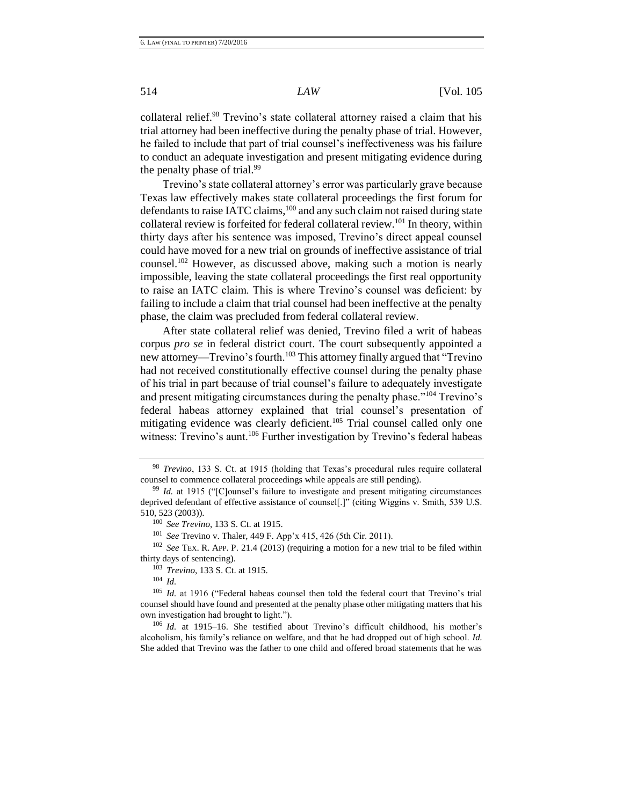collateral relief.<sup>98</sup> Trevino's state collateral attorney raised a claim that his trial attorney had been ineffective during the penalty phase of trial. However, he failed to include that part of trial counsel's ineffectiveness was his failure to conduct an adequate investigation and present mitigating evidence during the penalty phase of trial. $99$ 

Trevino's state collateral attorney's error was particularly grave because Texas law effectively makes state collateral proceedings the first forum for defendants to raise IATC claims,<sup>100</sup> and any such claim not raised during state collateral review is forfeited for federal collateral review.<sup>101</sup> In theory, within thirty days after his sentence was imposed, Trevino's direct appeal counsel could have moved for a new trial on grounds of ineffective assistance of trial counsel.<sup>102</sup> However, as discussed above, making such a motion is nearly impossible, leaving the state collateral proceedings the first real opportunity to raise an IATC claim. This is where Trevino's counsel was deficient: by failing to include a claim that trial counsel had been ineffective at the penalty phase, the claim was precluded from federal collateral review.

After state collateral relief was denied, Trevino filed a writ of habeas corpus *pro se* in federal district court. The court subsequently appointed a new attorney—Trevino's fourth.<sup>103</sup> This attorney finally argued that "Trevino" had not received constitutionally effective counsel during the penalty phase of his trial in part because of trial counsel's failure to adequately investigate and present mitigating circumstances during the penalty phase."<sup>104</sup> Trevino's federal habeas attorney explained that trial counsel's presentation of mitigating evidence was clearly deficient.<sup>105</sup> Trial counsel called only one witness: Trevino's aunt.<sup>106</sup> Further investigation by Trevino's federal habeas

<sup>101</sup> *See* Trevino v. Thaler, 449 F. App'x 415, 426 (5th Cir. 2011).

<sup>102</sup> *See* TEX. R. APP. P. 21.4 (2013) (requiring a motion for a new trial to be filed within thirty days of sentencing).

<sup>103</sup> *Trevino*, 133 S. Ct. at 1915.

<sup>104</sup> *Id.*

<sup>105</sup> *Id.* at 1916 ("Federal habeas counsel then told the federal court that Trevino's trial counsel should have found and presented at the penalty phase other mitigating matters that his own investigation had brought to light.").

<sup>106</sup> *Id.* at 1915–16. She testified about Trevino's difficult childhood, his mother's alcoholism, his family's reliance on welfare, and that he had dropped out of high school. *Id.*  She added that Trevino was the father to one child and offered broad statements that he was

<sup>98</sup> *Trevino*, 133 S. Ct. at 1915 (holding that Texas's procedural rules require collateral counsel to commence collateral proceedings while appeals are still pending).

<sup>99</sup> *Id.* at 1915 ("[C]ounsel's failure to investigate and present mitigating circumstances deprived defendant of effective assistance of counsel[.]" (citing Wiggins v. Smith, 539 U.S. 510, 523 (2003)).

<sup>100</sup> *See Trevino*, 133 S. Ct. at 1915.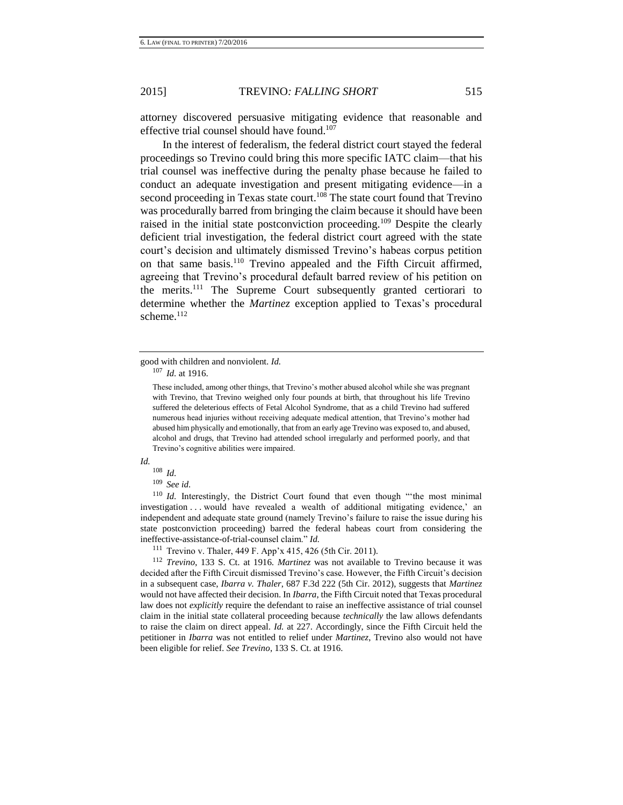attorney discovered persuasive mitigating evidence that reasonable and effective trial counsel should have found.<sup>107</sup>

In the interest of federalism, the federal district court stayed the federal proceedings so Trevino could bring this more specific IATC claim—that his trial counsel was ineffective during the penalty phase because he failed to conduct an adequate investigation and present mitigating evidence—in a second proceeding in Texas state court.<sup>108</sup> The state court found that Trevino was procedurally barred from bringing the claim because it should have been raised in the initial state postconviction proceeding.<sup>109</sup> Despite the clearly deficient trial investigation, the federal district court agreed with the state court's decision and ultimately dismissed Trevino's habeas corpus petition on that same basis.<sup>110</sup> Trevino appealed and the Fifth Circuit affirmed, agreeing that Trevino's procedural default barred review of his petition on the merits.<sup>111</sup> The Supreme Court subsequently granted certiorari to determine whether the *Martinez* exception applied to Texas's procedural scheme. $112$ 

good with children and nonviolent. *Id.*

<sup>107</sup> *Id.* at 1916.

These included, among other things, that Trevino's mother abused alcohol while she was pregnant with Trevino, that Trevino weighed only four pounds at birth, that throughout his life Trevino suffered the deleterious effects of Fetal Alcohol Syndrome, that as a child Trevino had suffered numerous head injuries without receiving adequate medical attention, that Trevino's mother had abused him physically and emotionally, that from an early age Trevino was exposed to, and abused, alcohol and drugs, that Trevino had attended school irregularly and performed poorly, and that Trevino's cognitive abilities were impaired.

*Id.*

<sup>108</sup> *Id.*

<sup>109</sup> *See id.*

<sup>110</sup> *Id.* Interestingly, the District Court found that even though "'the most minimal investigation . . . would have revealed a wealth of additional mitigating evidence,' an independent and adequate state ground (namely Trevino's failure to raise the issue during his state postconviction proceeding) barred the federal habeas court from considering the ineffective-assistance-of-trial-counsel claim." *Id.*

<sup>111</sup> Trevino v. Thaler, 449 F. App'x 415, 426 (5th Cir. 2011).

<sup>112</sup> *Trevino*, 133 S. Ct. at 1916. *Martinez* was not available to Trevino because it was decided after the Fifth Circuit dismissed Trevino's case. However, the Fifth Circuit's decision in a subsequent case, *Ibarra v. Thaler*, 687 F.3d 222 (5th Cir. 2012), suggests that *Martinez* would not have affected their decision. In *Ibarra*, the Fifth Circuit noted that Texas procedural law does not *explicitly* require the defendant to raise an ineffective assistance of trial counsel claim in the initial state collateral proceeding because *technically* the law allows defendants to raise the claim on direct appeal. *Id.* at 227. Accordingly, since the Fifth Circuit held the petitioner in *Ibarra* was not entitled to relief under *Martinez*, Trevino also would not have been eligible for relief. *See Trevino*, 133 S. Ct. at 1916.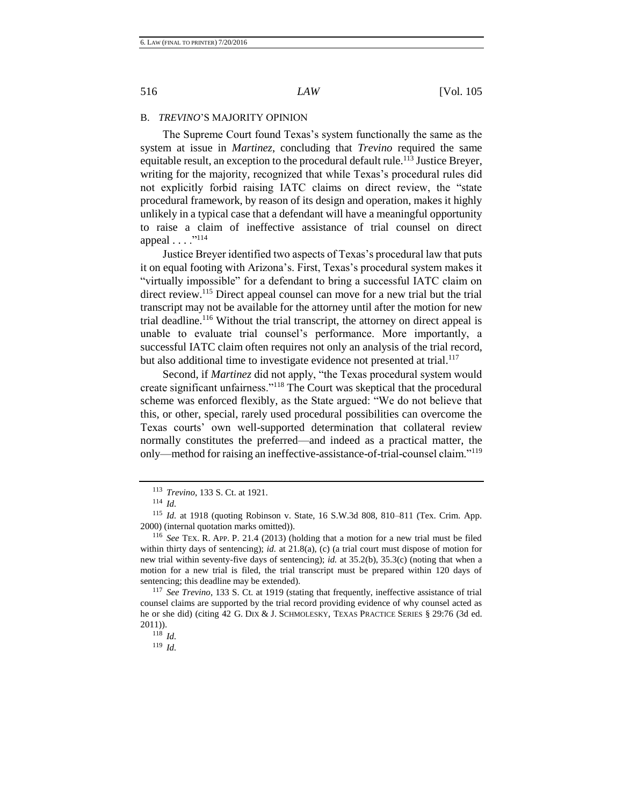#### B. *TREVINO*'S MAJORITY OPINION

The Supreme Court found Texas's system functionally the same as the system at issue in *Martinez*, concluding that *Trevino* required the same equitable result, an exception to the procedural default rule.<sup>113</sup> Justice Breyer, writing for the majority*,* recognized that while Texas's procedural rules did not explicitly forbid raising IATC claims on direct review, the "state procedural framework, by reason of its design and operation, makes it highly unlikely in a typical case that a defendant will have a meaningful opportunity to raise a claim of ineffective assistance of trial counsel on direct appeal . . . ."<sup>114</sup>

Justice Breyer identified two aspects of Texas's procedural law that puts it on equal footing with Arizona's. First, Texas's procedural system makes it "virtually impossible" for a defendant to bring a successful IATC claim on direct review.<sup>115</sup> Direct appeal counsel can move for a new trial but the trial transcript may not be available for the attorney until after the motion for new trial deadline.<sup>116</sup> Without the trial transcript, the attorney on direct appeal is unable to evaluate trial counsel's performance. More importantly, a successful IATC claim often requires not only an analysis of the trial record, but also additional time to investigate evidence not presented at trial.<sup>117</sup>

Second, if *Martinez* did not apply, "the Texas procedural system would create significant unfairness."<sup>118</sup> The Court was skeptical that the procedural scheme was enforced flexibly, as the State argued: "We do not believe that this, or other, special, rarely used procedural possibilities can overcome the Texas courts' own well-supported determination that collateral review normally constitutes the preferred—and indeed as a practical matter, the only—method for raising an ineffective-assistance-of-trial-counsel claim."<sup>119</sup>

<sup>113</sup> *Trevino*, 133 S. Ct. at 1921.

<sup>114</sup> *Id.*

<sup>115</sup> *Id.* at 1918 (quoting Robinson v. State, 16 S.W.3d 808, 810–811 (Tex. Crim. App. 2000) (internal quotation marks omitted)).

<sup>116</sup> *See* TEX. R. APP. P. 21.4 (2013) (holding that a motion for a new trial must be filed within thirty days of sentencing); *id.* at 21.8(a), (c) (a trial court must dispose of motion for new trial within seventy-five days of sentencing); *id.* at 35.2(b), 35.3(c) (noting that when a motion for a new trial is filed, the trial transcript must be prepared within 120 days of sentencing; this deadline may be extended).

<sup>117</sup> *See Trevino*, 133 S. Ct. at 1919 (stating that frequently, ineffective assistance of trial counsel claims are supported by the trial record providing evidence of why counsel acted as he or she did) (citing 42 G. DIX & J. SCHMOLESKY, TEXAS PRACTICE SERIES § 29:76 (3d ed. 2011)).

<sup>118</sup> *Id.*

<sup>119</sup> *Id.*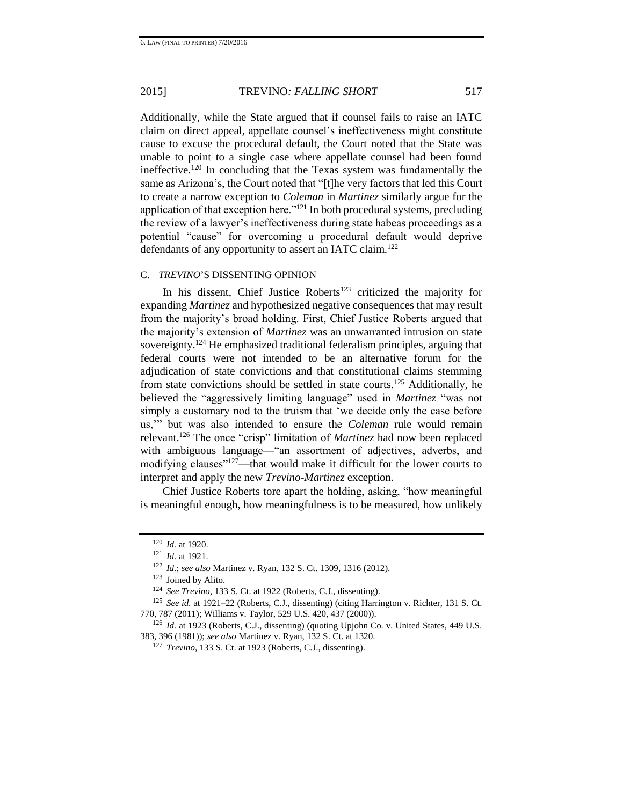Additionally, while the State argued that if counsel fails to raise an IATC claim on direct appeal*,* appellate counsel's ineffectiveness might constitute cause to excuse the procedural default, the Court noted that the State was unable to point to a single case where appellate counsel had been found ineffective.<sup>120</sup> In concluding that the Texas system was fundamentally the same as Arizona's, the Court noted that "[t]he very factors that led this Court to create a narrow exception to *Coleman* in *Martinez* similarly argue for the application of that exception here."<sup>121</sup> In both procedural systems, precluding the review of a lawyer's ineffectiveness during state habeas proceedings as a potential "cause" for overcoming a procedural default would deprive defendants of any opportunity to assert an IATC claim.<sup>122</sup>

# C. *TREVINO*'S DISSENTING OPINION

In his dissent, Chief Justice Roberts<sup>123</sup> criticized the majority for expanding *Martinez* and hypothesized negative consequences that may result from the majority's broad holding. First, Chief Justice Roberts argued that the majority's extension of *Martinez* was an unwarranted intrusion on state sovereignty.<sup>124</sup> He emphasized traditional federalism principles, arguing that federal courts were not intended to be an alternative forum for the adjudication of state convictions and that constitutional claims stemming from state convictions should be settled in state courts.<sup>125</sup> Additionally, he believed the "aggressively limiting language" used in *Martinez* "was not simply a customary nod to the truism that 'we decide only the case before us,'" but was also intended to ensure the *Coleman* rule would remain relevant.<sup>126</sup> The once "crisp" limitation of *Martinez* had now been replaced with ambiguous language—"an assortment of adjectives, adverbs, and modifying clauses"<sup>127</sup>—that would make it difficult for the lower courts to interpret and apply the new *Trevino-Martinez* exception.

Chief Justice Roberts tore apart the holding, asking, "how meaningful is meaningful enough, how meaningfulness is to be measured, how unlikely

<sup>120</sup> *Id.* at 1920.

<sup>121</sup> *Id.* at 1921.

<sup>122</sup> *Id.*; *see also* Martinez v. Ryan, 132 S. Ct. 1309, 1316 (2012).

<sup>123</sup> Joined by Alito.

<sup>124</sup> *See Trevino*, 133 S. Ct. at 1922 (Roberts, C.J., dissenting).

<sup>125</sup> *See id.* at 1921–22 (Roberts, C.J., dissenting) (citing Harrington v. Richter, 131 S. Ct. 770, 787 (2011); Williams v. Taylor, 529 U.S. 420, 437 (2000)).

<sup>126</sup> *Id.* at 1923 (Roberts, C.J., dissenting) (quoting Upjohn Co. v. United States, 449 U.S. 383, 396 (1981)); *see also* Martinez v. Ryan, 132 S. Ct. at 1320.

<sup>127</sup> *Trevino*, 133 S. Ct. at 1923 (Roberts, C.J., dissenting).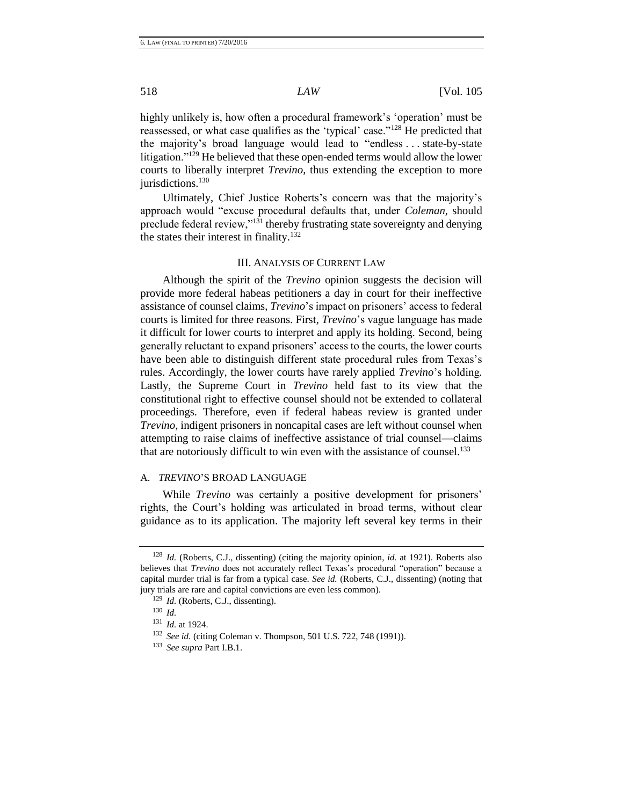highly unlikely is, how often a procedural framework's 'operation' must be reassessed, or what case qualifies as the 'typical' case."<sup>128</sup> He predicted that the majority's broad language would lead to "endless . . . state-by-state litigation."<sup>129</sup> He believed that these open-ended terms would allow the lower courts to liberally interpret *Trevino*, thus extending the exception to more jurisdictions.<sup>130</sup>

Ultimately, Chief Justice Roberts's concern was that the majority's approach would "excuse procedural defaults that, under *Coleman*, should preclude federal review,"<sup>131</sup> thereby frustrating state sovereignty and denying the states their interest in finality.<sup>132</sup>

#### III. ANALYSIS OF CURRENT LAW

Although the spirit of the *Trevino* opinion suggests the decision will provide more federal habeas petitioners a day in court for their ineffective assistance of counsel claims, *Trevino*'s impact on prisoners' access to federal courts is limited for three reasons. First, *Trevino*'s vague language has made it difficult for lower courts to interpret and apply its holding. Second, being generally reluctant to expand prisoners' access to the courts, the lower courts have been able to distinguish different state procedural rules from Texas's rules. Accordingly, the lower courts have rarely applied *Trevino*'s holding*.* Lastly, the Supreme Court in *Trevino* held fast to its view that the constitutional right to effective counsel should not be extended to collateral proceedings. Therefore, even if federal habeas review is granted under *Trevino*, indigent prisoners in noncapital cases are left without counsel when attempting to raise claims of ineffective assistance of trial counsel—claims that are notoriously difficult to win even with the assistance of counsel.<sup>133</sup>

## A. *TREVINO*'S BROAD LANGUAGE

While *Trevino* was certainly a positive development for prisoners' rights, the Court's holding was articulated in broad terms, without clear guidance as to its application. The majority left several key terms in their

<sup>128</sup> *Id.* (Roberts, C.J., dissenting) (citing the majority opinion, *id.* at 1921). Roberts also believes that *Trevino* does not accurately reflect Texas's procedural "operation" because a capital murder trial is far from a typical case. *See id.* (Roberts, C.J., dissenting) (noting that jury trials are rare and capital convictions are even less common).

<sup>129</sup> *Id.* (Roberts, C.J., dissenting).

<sup>130</sup> *Id.*

<sup>131</sup> *Id.* at 1924.

<sup>132</sup> *See id.* (citing Coleman v. Thompson, 501 U.S. 722, 748 (1991)).

<sup>133</sup> *See supra* Part I.B.1.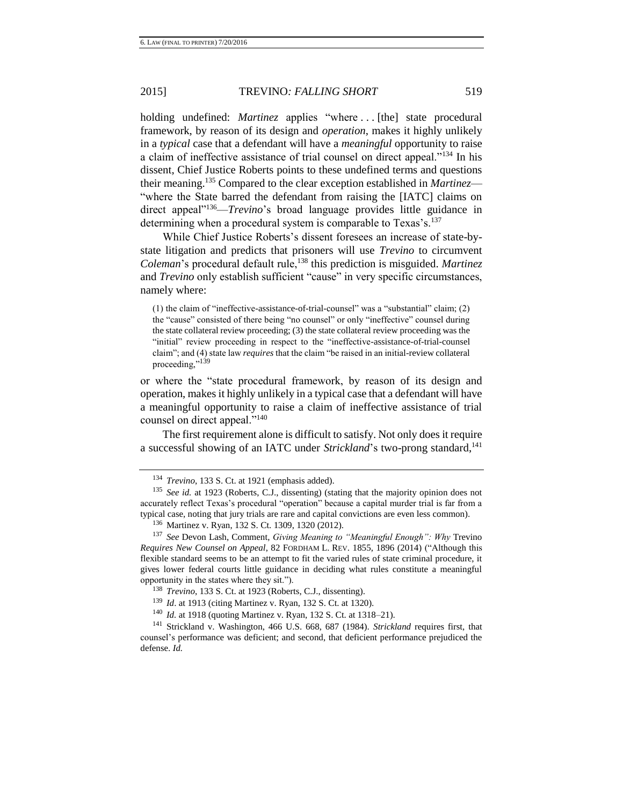holding undefined: *Martinez* applies "where ... [the] state procedural framework, by reason of its design and *operation*, makes it highly unlikely in a *typical* case that a defendant will have a *meaningful* opportunity to raise a claim of ineffective assistance of trial counsel on direct appeal."<sup>134</sup> In his dissent, Chief Justice Roberts points to these undefined terms and questions their meaning.<sup>135</sup> Compared to the clear exception established in *Martinez*— "where the State barred the defendant from raising the [IATC] claims on direct appeal"<sup>136</sup>—*Trevino*'s broad language provides little guidance in determining when a procedural system is comparable to Texas's.<sup>137</sup>

While Chief Justice Roberts's dissent foresees an increase of state-bystate litigation and predicts that prisoners will use *Trevino* to circumvent *Coleman*'s procedural default rule,<sup>138</sup> this prediction is misguided. *Martinez* and *Trevino* only establish sufficient "cause" in very specific circumstances, namely where:

(1) the claim of "ineffective-assistance-of-trial-counsel" was a "substantial" claim; (2) the "cause" consisted of there being "no counsel" or only "ineffective" counsel during the state collateral review proceeding; (3) the state collateral review proceeding was the "initial" review proceeding in respect to the "ineffective-assistance-of-trial-counsel claim"; and (4) state law *requires* that the claim "be raised in an initial-review collateral proceeding."<sup>139</sup>

or where the "state procedural framework, by reason of its design and operation, makes it highly unlikely in a typical case that a defendant will have a meaningful opportunity to raise a claim of ineffective assistance of trial counsel on direct appeal."<sup>140</sup>

The first requirement alone is difficult to satisfy. Not only does it require a successful showing of an IATC under *Strickland*'s two-prong standard,<sup>141</sup>

<sup>140</sup> *Id.* at 1918 (quoting Martinez v. Ryan, 132 S. Ct. at 1318–21).

<sup>134</sup> *Trevino*, 133 S. Ct. at 1921 (emphasis added).

<sup>135</sup> *See id.* at 1923 (Roberts, C.J., dissenting) (stating that the majority opinion does not accurately reflect Texas's procedural "operation" because a capital murder trial is far from a typical case, noting that jury trials are rare and capital convictions are even less common).

<sup>136</sup> Martinez v. Ryan, 132 S. Ct. 1309, 1320 (2012).

<sup>137</sup> *See* Devon Lash, Comment, *Giving Meaning to "Meaningful Enough": Why* Trevino *Requires New Counsel on Appeal*, 82 FORDHAM L. REV. 1855, 1896 (2014) ("Although this flexible standard seems to be an attempt to fit the varied rules of state criminal procedure, it gives lower federal courts little guidance in deciding what rules constitute a meaningful opportunity in the states where they sit.").

<sup>138</sup> *Trevino*, 133 S. Ct. at 1923 (Roberts, C.J., dissenting).

<sup>139</sup> *Id*. at 1913 (citing Martinez v. Ryan, 132 S. Ct. at 1320).

<sup>141</sup> Strickland v. Washington, 466 U.S. 668, 687 (1984). *Strickland* requires first, that counsel's performance was deficient; and second, that deficient performance prejudiced the defense. *Id.*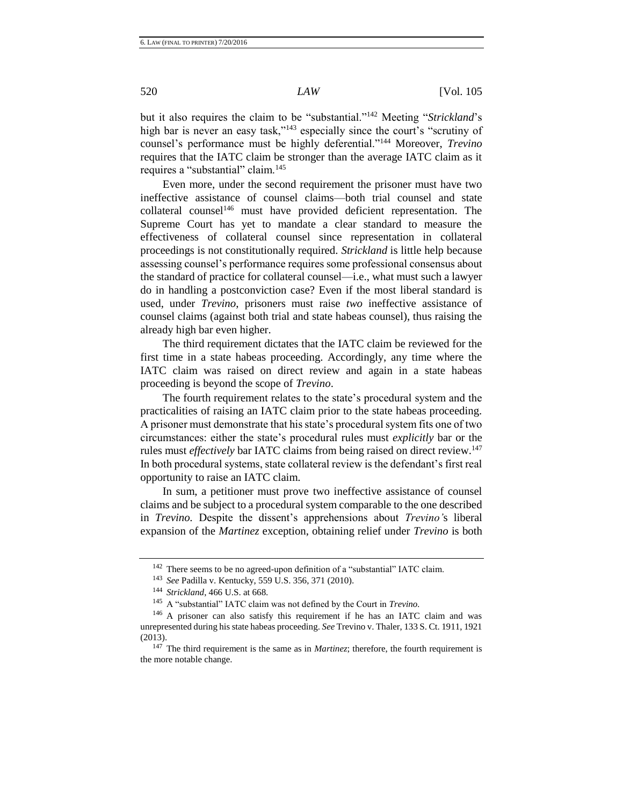but it also requires the claim to be "substantial."<sup>142</sup> Meeting "*Strickland*'s high bar is never an easy task,"<sup>143</sup> especially since the court's "scrutiny of counsel's performance must be highly deferential."<sup>144</sup> Moreover, *Trevino* requires that the IATC claim be stronger than the average IATC claim as it requires a "substantial" claim.<sup>145</sup>

Even more, under the second requirement the prisoner must have two ineffective assistance of counsel claims—both trial counsel and state collateral counsel<sup>146</sup> must have provided deficient representation. The Supreme Court has yet to mandate a clear standard to measure the effectiveness of collateral counsel since representation in collateral proceedings is not constitutionally required. *Strickland* is little help because assessing counsel's performance requires some professional consensus about the standard of practice for collateral counsel—i.e., what must such a lawyer do in handling a postconviction case? Even if the most liberal standard is used, under *Trevino*, prisoners must raise *two* ineffective assistance of counsel claims (against both trial and state habeas counsel), thus raising the already high bar even higher.

The third requirement dictates that the IATC claim be reviewed for the first time in a state habeas proceeding. Accordingly, any time where the IATC claim was raised on direct review and again in a state habeas proceeding is beyond the scope of *Trevino*.

The fourth requirement relates to the state's procedural system and the practicalities of raising an IATC claim prior to the state habeas proceeding. A prisoner must demonstrate that his state's procedural system fits one of two circumstances: either the state's procedural rules must *explicitly* bar or the rules must *effectively* bar IATC claims from being raised on direct review.<sup>147</sup> In both procedural systems, state collateral review is the defendant's first real opportunity to raise an IATC claim.

In sum, a petitioner must prove two ineffective assistance of counsel claims and be subject to a procedural system comparable to the one described in *Trevino.* Despite the dissent's apprehensions about *Trevino'*s liberal expansion of the *Martinez* exception, obtaining relief under *Trevino* is both

<sup>142</sup> There seems to be no agreed-upon definition of a "substantial" IATC claim.

<sup>143</sup> *See* Padilla v. Kentucky, 559 U.S. 356, 371 (2010).

<sup>144</sup> *Strickland*, 466 U.S. at 668.

<sup>145</sup> A "substantial" IATC claim was not defined by the Court in *Trevino.* 

<sup>146</sup> A prisoner can also satisfy this requirement if he has an IATC claim and was unrepresented during his state habeas proceeding. *See* Trevino v. Thaler, 133 S. Ct. 1911, 1921 (2013).

<sup>147</sup> The third requirement is the same as in *Martinez*; therefore, the fourth requirement is the more notable change.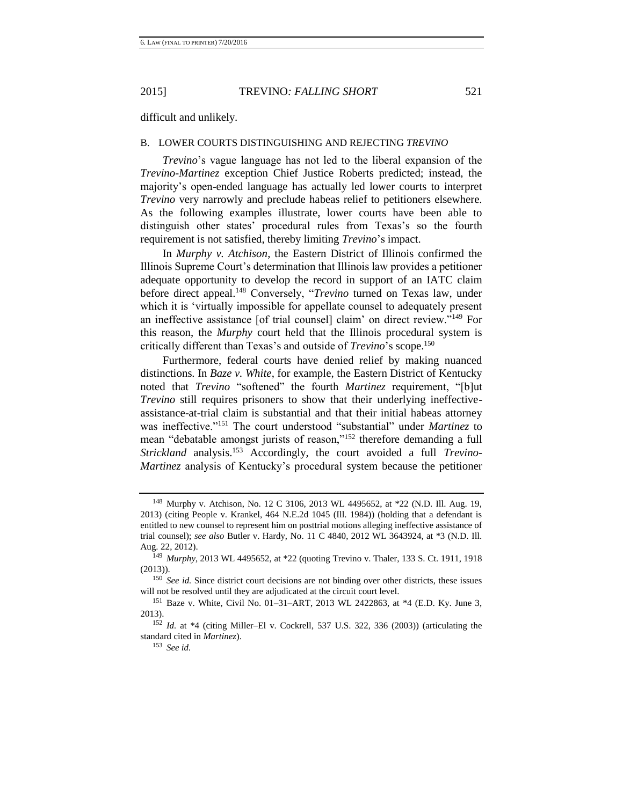difficult and unlikely.

#### B. LOWER COURTS DISTINGUISHING AND REJECTING *TREVINO*

*Trevino*'s vague language has not led to the liberal expansion of the *Trevino-Martinez* exception Chief Justice Roberts predicted; instead, the majority's open-ended language has actually led lower courts to interpret *Trevino* very narrowly and preclude habeas relief to petitioners elsewhere. As the following examples illustrate, lower courts have been able to distinguish other states' procedural rules from Texas's so the fourth requirement is not satisfied, thereby limiting *Trevino*'s impact.

In *Murphy v. Atchison*, the Eastern District of Illinois confirmed the Illinois Supreme Court's determination that Illinois law provides a petitioner adequate opportunity to develop the record in support of an IATC claim before direct appeal.<sup>148</sup> Conversely, "*Trevino* turned on Texas law, under which it is 'virtually impossible for appellate counsel to adequately present an ineffective assistance [of trial counsel] claim' on direct review."<sup>149</sup> For this reason, the *Murphy* court held that the Illinois procedural system is critically different than Texas's and outside of *Trevino*'s scope.<sup>150</sup>

Furthermore, federal courts have denied relief by making nuanced distinctions*.* In *Baze v. White*, for example, the Eastern District of Kentucky noted that *Trevino* "softened" the fourth *Martinez* requirement, "[b]ut *Trevino* still requires prisoners to show that their underlying ineffectiveassistance-at-trial claim is substantial and that their initial habeas attorney was ineffective."<sup>151</sup> The court understood "substantial" under *Martinez* to mean "debatable amongst jurists of reason,"<sup>152</sup> therefore demanding a full *Strickland* analysis.<sup>153</sup> Accordingly, the court avoided a full *Trevino-Martinez* analysis of Kentucky's procedural system because the petitioner

<sup>&</sup>lt;sup>148</sup> Murphy v. Atchison, No. 12 C 3106, 2013 WL 4495652, at \*22 (N.D. Ill. Aug. 19, 2013) (citing People v. Krankel, 464 N.E.2d 1045 (Ill. 1984)) (holding that a defendant is entitled to new counsel to represent him on posttrial motions alleging ineffective assistance of trial counsel); *see also* Butler v. Hardy, No. 11 C 4840, 2012 WL 3643924, at \*3 (N.D. Ill. Aug. 22, 2012).

<sup>149</sup> *Murphy*, 2013 WL 4495652, at \*22 (quoting Trevino v. Thaler, 133 S. Ct. 1911, 1918 (2013)).

<sup>150</sup> *See id.* Since district court decisions are not binding over other districts, these issues will not be resolved until they are adjudicated at the circuit court level.

<sup>151</sup> Baze v. White, Civil No. 01–31–ART, 2013 WL 2422863, at \*4 (E.D. Ky. June 3, 2013).

<sup>152</sup> *Id.* at \*4 (citing Miller–El v. Cockrell, 537 U.S. 322, 336 (2003)) (articulating the standard cited in *Martinez*).

<sup>153</sup> *See id.*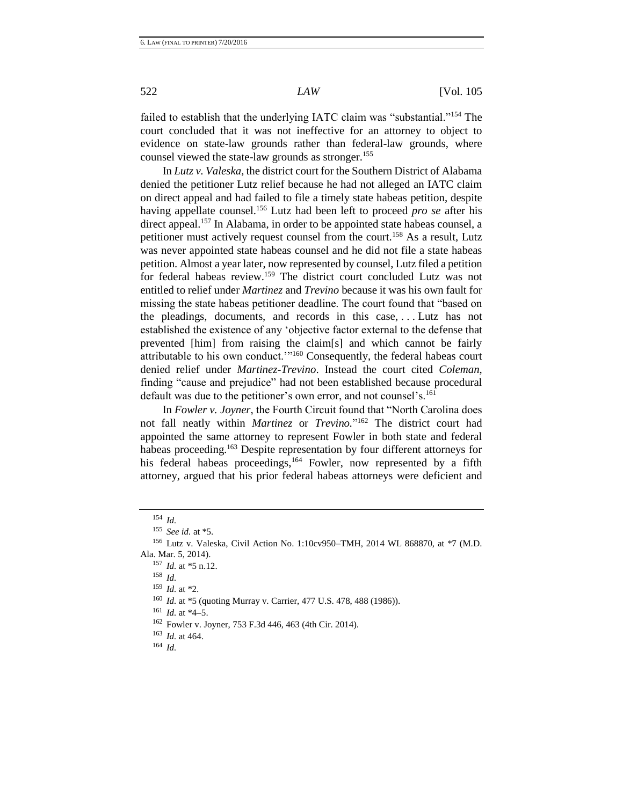failed to establish that the underlying IATC claim was "substantial."<sup>154</sup> The court concluded that it was not ineffective for an attorney to object to evidence on state-law grounds rather than federal-law grounds, where counsel viewed the state-law grounds as stronger.<sup>155</sup>

In *Lutz v. Valeska*, the district court for the Southern District of Alabama denied the petitioner Lutz relief because he had not alleged an IATC claim on direct appeal and had failed to file a timely state habeas petition, despite having appellate counsel.<sup>156</sup> Lutz had been left to proceed *pro se* after his direct appeal.<sup>157</sup> In Alabama, in order to be appointed state habeas counsel, a petitioner must actively request counsel from the court.<sup>158</sup> As a result, Lutz was never appointed state habeas counsel and he did not file a state habeas petition. Almost a year later, now represented by counsel, Lutz filed a petition for federal habeas review.<sup>159</sup> The district court concluded Lutz was not entitled to relief under *Martinez* and *Trevino* because it was his own fault for missing the state habeas petitioner deadline. The court found that "based on the pleadings, documents, and records in this case, . . . Lutz has not established the existence of any 'objective factor external to the defense that prevented [him] from raising the claim[s] and which cannot be fairly attributable to his own conduct.'"<sup>160</sup> Consequently, the federal habeas court denied relief under *Martinez-Trevino*. Instead the court cited *Coleman*, finding "cause and prejudice" had not been established because procedural default was due to the petitioner's own error, and not counsel's.<sup>161</sup>

In *Fowler v. Joyner*, the Fourth Circuit found that "North Carolina does not fall neatly within *Martinez* or *Trevino.*" <sup>162</sup> The district court had appointed the same attorney to represent Fowler in both state and federal habeas proceeding.<sup>163</sup> Despite representation by four different attorneys for his federal habeas proceedings,<sup>164</sup> Fowler, now represented by a fifth attorney, argued that his prior federal habeas attorneys were deficient and

<sup>163</sup> *Id.* at 464.

<sup>154</sup> *Id.* 

<sup>155</sup> *See id.* at \*5.

<sup>156</sup> Lutz v. Valeska, Civil Action No. 1:10cv950–TMH, 2014 WL 868870, at \*7 (M.D. Ala. Mar. 5, 2014).

<sup>157</sup> *Id.* at \*5 n.12.

<sup>158</sup> *Id.*

<sup>159</sup> *Id.* at \*2.

<sup>160</sup> *Id.* at \*5 (quoting Murray v. Carrier, 477 U.S. 478, 488 (1986)).

<sup>161</sup> *Id.* at \*4**–**5.

<sup>162</sup> Fowler v. Joyner, 753 F.3d 446, 463 (4th Cir. 2014).

<sup>164</sup> *Id.*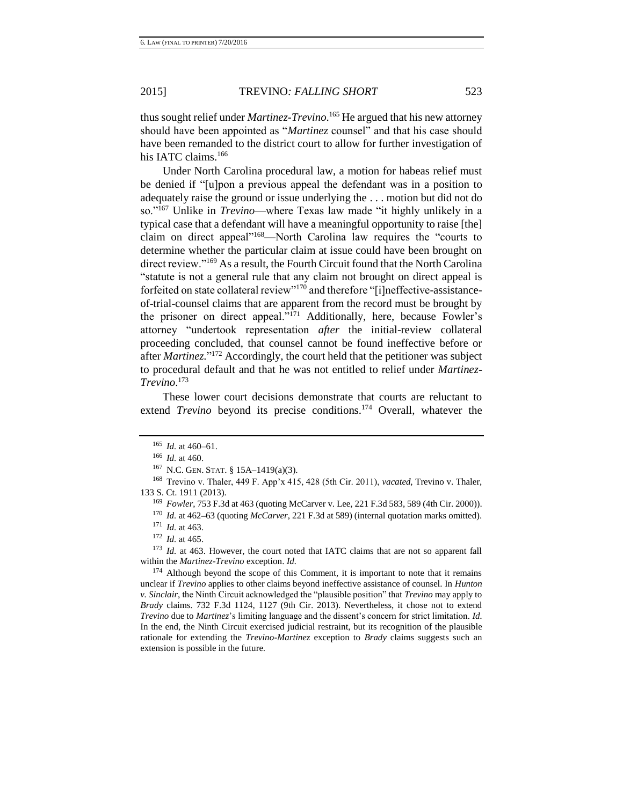thus sought relief under *Martinez-Trevino*. <sup>165</sup> He argued that his new attorney should have been appointed as "*Martinez* counsel" and that his case should have been remanded to the district court to allow for further investigation of his IATC claims.<sup>166</sup>

Under North Carolina procedural law, a motion for habeas relief must be denied if "[u]pon a previous appeal the defendant was in a position to adequately raise the ground or issue underlying the . . . motion but did not do so."<sup>167</sup> Unlike in *Trevino*—where Texas law made "it highly unlikely in a typical case that a defendant will have a meaningful opportunity to raise [the] claim on direct appeal"<sup>168</sup>—North Carolina law requires the "courts to determine whether the particular claim at issue could have been brought on direct review."<sup>169</sup> As a result, the Fourth Circuit found that the North Carolina "statute is not a general rule that any claim not brought on direct appeal is forfeited on state collateral review"<sup>170</sup> and therefore "[i]neffective-assistanceof-trial-counsel claims that are apparent from the record must be brought by the prisoner on direct appeal."<sup>171</sup> Additionally, here, because Fowler's attorney "undertook representation *after* the initial-review collateral proceeding concluded, that counsel cannot be found ineffective before or after *Martinez.*" <sup>172</sup> Accordingly, the court held that the petitioner was subject to procedural default and that he was not entitled to relief under *Martinez-Trevino*. 173

These lower court decisions demonstrate that courts are reluctant to extend *Trevino* beyond its precise conditions.<sup>174</sup> Overall, whatever the

 $^{165}$  *Id.* at 460–61.

<sup>166</sup> *Id.* at 460.

<sup>167</sup> N.C. GEN. STAT. § 15A–1419(a)(3).

<sup>168</sup> Trevino v. Thaler, 449 F. App'x 415, 428 (5th Cir. 2011), *vacated*, Trevino v. Thaler, 133 S. Ct. 1911 (2013).

<sup>169</sup> *Fowler*, 753 F.3d at 463 (quoting McCarver v. Lee, 221 F.3d 583, 589 (4th Cir. 2000)).

<sup>170</sup> *Id.* at 462**–**63 (quoting *McCarver*, 221 F.3d at 589) (internal quotation marks omitted).

<sup>171</sup> *Id.* at 463.

<sup>172</sup> *Id.* at 465.

<sup>173</sup> *Id.* at 463. However, the court noted that IATC claims that are not so apparent fall within the *[Martinez](https://a.next.westlaw.com/Link/Document/FullText?findType=Y&serNum=2027337690&originationContext=document&transitionType=DocumentItem&contextData=(sc.Folder*cid.1661a5172c0d480e8223e9a49ba6f0c1*oc.Keycite))*-*Trevino* exception. *Id.*

<sup>&</sup>lt;sup>174</sup> Although beyond the scope of this Comment, it is important to note that it remains unclear if *Trevino* applies to other claims beyond ineffective assistance of counsel. In *Hunton v. Sinclair*, the Ninth Circuit acknowledged the "plausible position" that *Trevino* may apply to *Brady* claims. 732 F.3d 1124, 1127 (9th Cir. 2013). Nevertheless, it chose not to extend *Trevino* due to *Martinez*'s limiting language and the dissent's concern for strict limitation. *Id.* In the end, the Ninth Circuit exercised judicial restraint, but its recognition of the plausible rationale for extending the *Trevino*-*Martinez* exception to *Brady* claims suggests such an extension is possible in the future.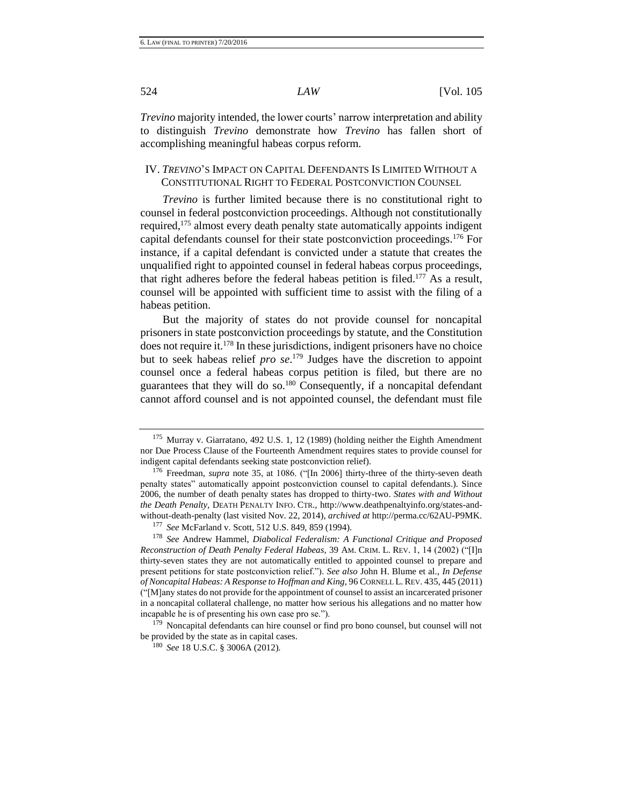*Trevino* majority intended*,* the lower courts' narrow interpretation and ability to distinguish *Trevino* demonstrate how *Trevino* has fallen short of accomplishing meaningful habeas corpus reform.

# IV. *TREVINO*'S IMPACT ON CAPITAL DEFENDANTS IS LIMITED WITHOUT A CONSTITUTIONAL RIGHT TO FEDERAL POSTCONVICTION COUNSEL

*Trevino* is further limited because there is no constitutional right to counsel in federal postconviction proceedings. Although not constitutionally required,<sup>175</sup> almost every death penalty state automatically appoints indigent capital defendants counsel for their state postconviction proceedings.<sup>176</sup> For instance, if a capital defendant is convicted under a statute that creates the unqualified right to appointed counsel in federal habeas corpus proceedings, that right adheres before the federal habeas petition is filed.<sup>177</sup> As a result, counsel will be appointed with sufficient time to assist with the filing of a habeas petition.

But the majority of states do not provide counsel for noncapital prisoners in state postconviction proceedings by statute, and the Constitution does not require it.<sup>178</sup> In these jurisdictions, indigent prisoners have no choice but to seek habeas relief *pro se*. <sup>179</sup> Judges have the discretion to appoint counsel once a federal habeas corpus petition is filed, but there are no guarantees that they will do so.<sup>180</sup> Consequently, if a noncapital defendant cannot afford counsel and is not appointed counsel, the defendant must file

<sup>175</sup> Murray v. Giarratano, 492 U.S. 1, 12 (1989) (holding neither the Eighth Amendment nor Due Process Clause of the Fourteenth Amendment requires states to provide counsel for indigent capital defendants seeking state postconviction relief).

<sup>&</sup>lt;sup>176</sup> Freedman, *supra* note [35,](#page-8-1) at 1086. ("[In 2006] thirty-three of the thirty-seven death penalty states" automatically appoint postconviction counsel to capital defendants.). Since 2006, the number of death penalty states has dropped to thirty-two. *States with and Without the Death Penalty*, DEATH PENALTY INFO. CTR., http://www.deathpenaltyinfo.org/states-andwithout-death-penalty (last visited Nov. 22, 2014), *archived at* http://perma.cc/62AU-P9MK.

<sup>177</sup> *See* McFarland v. Scott, 512 U.S. 849, 859 (1994).

<sup>178</sup> *See* Andrew Hammel, *Diabolical Federalism: A Functional Critique and Proposed Reconstruction of Death Penalty Federal Habeas*, 39 AM. CRIM. L. REV. 1, 14 (2002) ("[I]n thirty-seven states they are not automatically entitled to appointed counsel to prepare and present petitions for state postconviction relief."). *See also* John H. Blume et al., *In Defense of Noncapital Habeas: A Response to Hoffman and King*, 96 CORNELL L.REV. 435, 445 (2011) ("[M]any states do not provide for the appointment of counsel to assist an incarcerated prisoner in a noncapital collateral challenge, no matter how serious his allegations and no matter how incapable he is of presenting his own case pro se.").

<sup>&</sup>lt;sup>179</sup> Noncapital defendants can hire counsel or find pro bono counsel, but counsel will not be provided by the state as in capital cases.

<sup>180</sup> *See* 18 U.S.C. § 3006A (2012).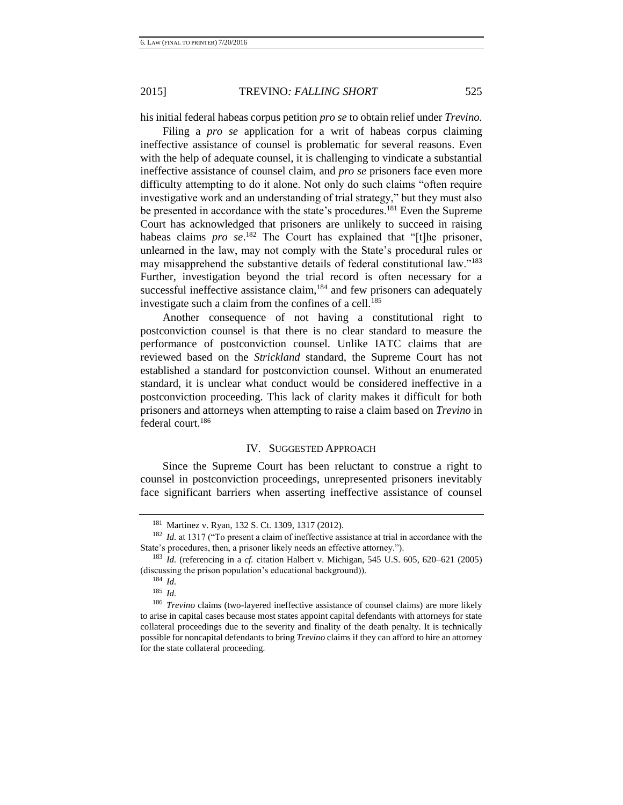his initial federal habeas corpus petition *pro se* to obtain relief under *Trevino.*

Filing a *pro se* application for a writ of habeas corpus claiming ineffective assistance of counsel is problematic for several reasons. Even with the help of adequate counsel, it is challenging to vindicate a substantial ineffective assistance of counsel claim, and *pro se* prisoners face even more difficulty attempting to do it alone. Not only do such claims "often require investigative work and an understanding of trial strategy," but they must also be presented in accordance with the state's procedures.<sup>181</sup> Even the Supreme Court has acknowledged that prisoners are unlikely to succeed in raising habeas claims *pro se*. <sup>182</sup> The Court has explained that "[t]he prisoner, unlearned in the law, may not comply with the State's procedural rules or may misapprehend the substantive details of federal constitutional law."<sup>183</sup> Further, investigation beyond the trial record is often necessary for a successful ineffective assistance claim, $184$  and few prisoners can adequately investigate such a claim from the confines of a cell.<sup>185</sup>

Another consequence of not having a constitutional right to postconviction counsel is that there is no clear standard to measure the performance of postconviction counsel. Unlike IATC claims that are reviewed based on the *Strickland* standard, the Supreme Court has not established a standard for postconviction counsel. Without an enumerated standard, it is unclear what conduct would be considered ineffective in a postconviction proceeding. This lack of clarity makes it difficult for both prisoners and attorneys when attempting to raise a claim based on *Trevino* in federal court.<sup>186</sup>

# IV. SUGGESTED APPROACH

Since the Supreme Court has been reluctant to construe a right to counsel in postconviction proceedings, unrepresented prisoners inevitably face significant barriers when asserting ineffective assistance of counsel

<sup>181</sup> Martinez v. Ryan, 132 S. Ct. 1309, 1317 (2012).

<sup>&</sup>lt;sup>182</sup> *Id.* at 1317 ("To present a claim of ineffective assistance at trial in accordance with the State's procedures, then, a prisoner likely needs an effective attorney.").

<sup>183</sup> *Id.* (referencing in a *cf.* citation Halbert v. Michigan, 545 U.S. 605, 620–621 (2005) (discussing the prison population's educational background)).

<sup>184</sup> *Id.*

<sup>185</sup> *Id.*

<sup>186</sup> *Trevino* claims (two-layered ineffective assistance of counsel claims) are more likely to arise in capital cases because most states appoint capital defendants with attorneys for state collateral proceedings due to the severity and finality of the death penalty. It is technically possible for noncapital defendants to bring *Trevino* claims if they can afford to hire an attorney for the state collateral proceeding.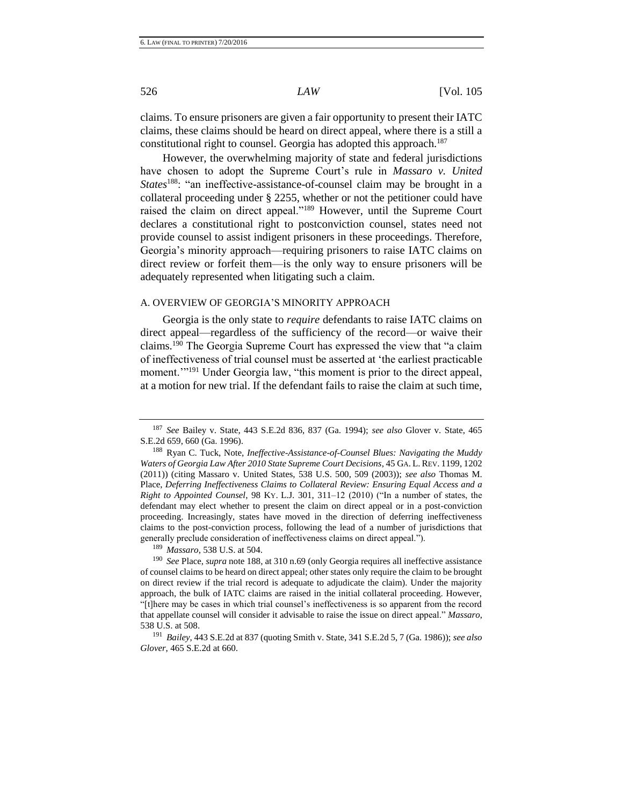claims. To ensure prisoners are given a fair opportunity to present their IATC claims, these claims should be heard on direct appeal, where there is a still a constitutional right to counsel. Georgia has adopted this approach.<sup>187</sup>

<span id="page-28-0"></span>However, the overwhelming majority of state and federal jurisdictions have chosen to adopt the Supreme Court's rule in *Massaro v. United States*<sup>188</sup>: "an ineffective-assistance-of-counsel claim may be brought in a collateral proceeding under § 2255, whether or not the petitioner could have raised the claim on direct appeal."<sup>189</sup> However, until the Supreme Court declares a constitutional right to postconviction counsel, states need not provide counsel to assist indigent prisoners in these proceedings. Therefore, Georgia's minority approach—requiring prisoners to raise IATC claims on direct review or forfeit them—is the only way to ensure prisoners will be adequately represented when litigating such a claim.

#### A. OVERVIEW OF GEORGIA'S MINORITY APPROACH

Georgia is the only state to *require* defendants to raise IATC claims on direct appeal—regardless of the sufficiency of the record—or waive their claims.<sup>190</sup> The Georgia Supreme Court has expressed the view that "a claim of ineffectiveness of trial counsel must be asserted at 'the earliest practicable moment.<sup>'"191</sup> Under Georgia law, "this moment is prior to the direct appeal, at a motion for new trial. If the defendant fails to raise the claim at such time,

<sup>187</sup> *See* Bailey v. State, 443 S.E.2d 836, 837 (Ga. 1994); *see also* Glover v. State, 465 S.E.2d 659, 660 (Ga. 1996).

<sup>188</sup> Ryan C. Tuck, Note, *Ineffective-Assistance-of-Counsel Blues: Navigating the Muddy Waters of Georgia Law After 2010 State Supreme Court Decisions*, 45 GA. L. REV. 1199, 1202 (2011)) (citing Massaro v. United States, 538 U.S. 500, 509 (2003)); *see also* Thomas M. Place, *Deferring Ineffectiveness Claims to Collateral Review: Ensuring Equal Access and a Right to Appointed Counsel*, 98 KY. L.J. 301, 311–12 (2010) ("In a number of states, the defendant may elect whether to present the claim on direct appeal or in a post-conviction proceeding. Increasingly, states have moved in the direction of deferring ineffectiveness claims to the post-conviction process, following the lead of a number of jurisdictions that generally preclude consideration of ineffectiveness claims on direct appeal.").

<sup>189</sup> *Massaro*, 538 U.S. at 504.

<sup>190</sup> *See* Place, *supra* not[e 188,](#page-28-0) at 310 n.69 (only Georgia requires all ineffective assistance of counsel claims to be heard on direct appeal; other states only require the claim to be brought on direct review if the trial record is adequate to adjudicate the claim). Under the majority approach, the bulk of IATC claims are raised in the initial collateral proceeding. However, "[t]here may be cases in which trial counsel's ineffectiveness is so apparent from the record that appellate counsel will consider it advisable to raise the issue on direct appeal." *Massaro*, 538 U.S. at 508.

<sup>191</sup> *Bailey*, 443 S.E.2d at 837 (quoting Smith v. State, 341 S.E.2d 5, 7 (Ga. 1986)); *see also Glover*, 465 S.E.2d at 660.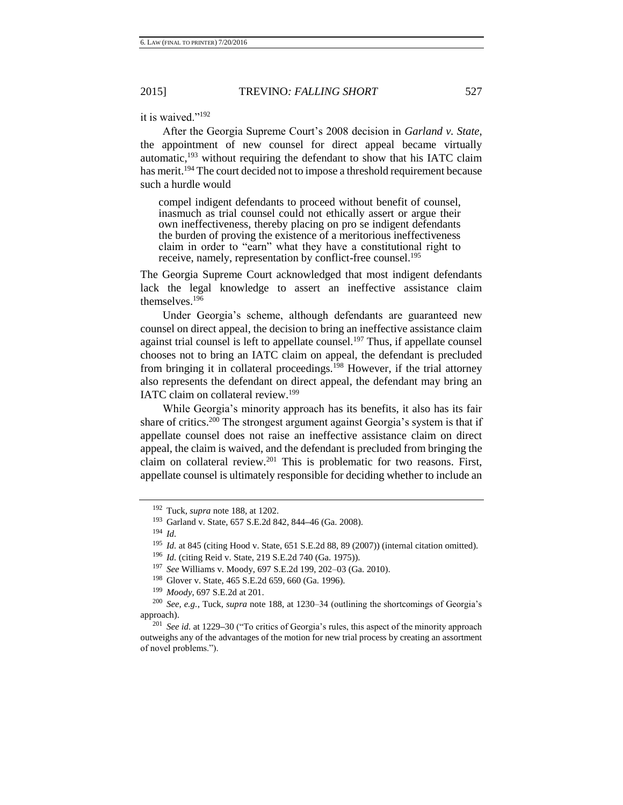it is waived."<sup>192</sup>

After the Georgia Supreme Court's 2008 decision in *Garland v. State*, the appointment of new counsel for direct appeal became virtually automatic, $193$  without requiring the defendant to show that his IATC claim has merit.<sup>194</sup> The court decided not to impose a threshold requirement because such a hurdle would

compel indigent defendants to proceed without benefit of counsel, inasmuch as trial counsel could not ethically assert or argue their own ineffectiveness, thereby placing on pro se indigent defendants the burden of proving the existence of a meritorious ineffectiveness claim in order to "earn" what they have a constitutional right to receive, namely, representation by conflict-free counsel.<sup>195</sup>

The Georgia Supreme Court acknowledged that most indigent defendants lack the legal knowledge to assert an ineffective assistance claim themselves.<sup>196</sup>

Under Georgia's scheme, although defendants are guaranteed new counsel on direct appeal, the decision to bring an ineffective assistance claim against trial counsel is left to appellate counsel.<sup>197</sup> Thus, if appellate counsel chooses not to bring an IATC claim on appeal, the defendant is precluded from bringing it in collateral proceedings.<sup>198</sup> However, if the trial attorney also represents the defendant on direct appeal, the defendant may bring an IATC claim on collateral review.<sup>199</sup>

While Georgia's minority approach has its benefits, it also has its fair share of critics.<sup>200</sup> The strongest argument against Georgia's system is that if appellate counsel does not raise an ineffective assistance claim on direct appeal, the claim is waived, and the defendant is precluded from bringing the claim on collateral review.<sup>201</sup> This is problematic for two reasons. First, appellate counsel is ultimately responsible for deciding whether to include an

<sup>199</sup> *Moody*, 697 S.E.2d at 201.

<sup>192</sup> Tuck, *supra* not[e 188,](#page-28-0) at 1202.

<sup>193</sup> Garland v. State, 657 S.E.2d 842, 844**–**46 (Ga. 2008).

<sup>194</sup> *Id.*

<sup>&</sup>lt;sup>195</sup> *Id.* at 845 (citing Hood v. State, 651 S.E.2d 88, 89 (2007)) (internal citation omitted).

<sup>196</sup> *Id.* (citing Reid v. State, 219 S.E.2d 740 (Ga. 1975)).

<sup>197</sup> *See* Williams v. Moody, 697 S.E.2d 199, 202–03 (Ga. 2010).

<sup>198</sup> Glover v. State, 465 S.E.2d 659, 660 (Ga. 1996).

<sup>200</sup> *See, e.g.*, Tuck, *supra* not[e 188,](#page-28-0) at 1230–34 (outlining the shortcomings of Georgia's approach).

<sup>201</sup> *See id.* at 1229**–**30 ("To critics of Georgia's rules, this aspect of the minority approach outweighs any of the advantages of the motion for new trial process by creating an assortment of novel problems.").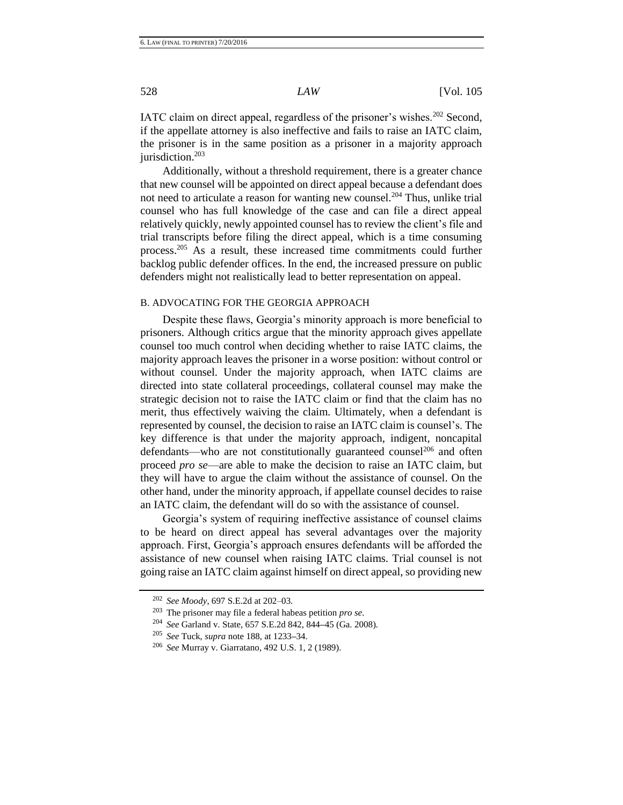IATC claim on direct appeal, regardless of the prisoner's wishes.<sup>202</sup> Second, if the appellate attorney is also ineffective and fails to raise an IATC claim, the prisoner is in the same position as a prisoner in a majority approach jurisdiction.<sup>203</sup>

Additionally, without a threshold requirement, there is a greater chance that new counsel will be appointed on direct appeal because a defendant does not need to articulate a reason for wanting new counsel.<sup>204</sup> Thus, unlike trial counsel who has full knowledge of the case and can file a direct appeal relatively quickly, newly appointed counsel has to review the client's file and trial transcripts before filing the direct appeal, which is a time consuming process.<sup>205</sup> As a result, these increased time commitments could further backlog public defender offices. In the end, the increased pressure on public defenders might not realistically lead to better representation on appeal.

## B. ADVOCATING FOR THE GEORGIA APPROACH

Despite these flaws, Georgia's minority approach is more beneficial to prisoners. Although critics argue that the minority approach gives appellate counsel too much control when deciding whether to raise IATC claims, the majority approach leaves the prisoner in a worse position: without control or without counsel. Under the majority approach, when IATC claims are directed into state collateral proceedings, collateral counsel may make the strategic decision not to raise the IATC claim or find that the claim has no merit, thus effectively waiving the claim. Ultimately, when a defendant is represented by counsel, the decision to raise an IATC claim is counsel's. The key difference is that under the majority approach, indigent, noncapital defendants—who are not constitutionally guaranteed counsel<sup>206</sup> and often proceed *pro se*—are able to make the decision to raise an IATC claim, but they will have to argue the claim without the assistance of counsel. On the other hand, under the minority approach, if appellate counsel decides to raise an IATC claim, the defendant will do so with the assistance of counsel.

Georgia's system of requiring ineffective assistance of counsel claims to be heard on direct appeal has several advantages over the majority approach. First, Georgia's approach ensures defendants will be afforded the assistance of new counsel when raising IATC claims. Trial counsel is not going raise an IATC claim against himself on direct appeal, so providing new

<sup>202</sup> *See Moody*, 697 S.E.2d at 202–03.

<sup>203</sup> The prisoner may file a federal habeas petition *pro se*.

<sup>204</sup> *See* Garland v. State, 657 S.E.2d 842, 844**–**45 (Ga. 2008).

<sup>205</sup> *See* Tuck, *supra* note [188,](#page-28-0) at 1233**–**34.

<sup>206</sup> *See* Murray v. Giarratano, 492 U.S. 1, 2 (1989).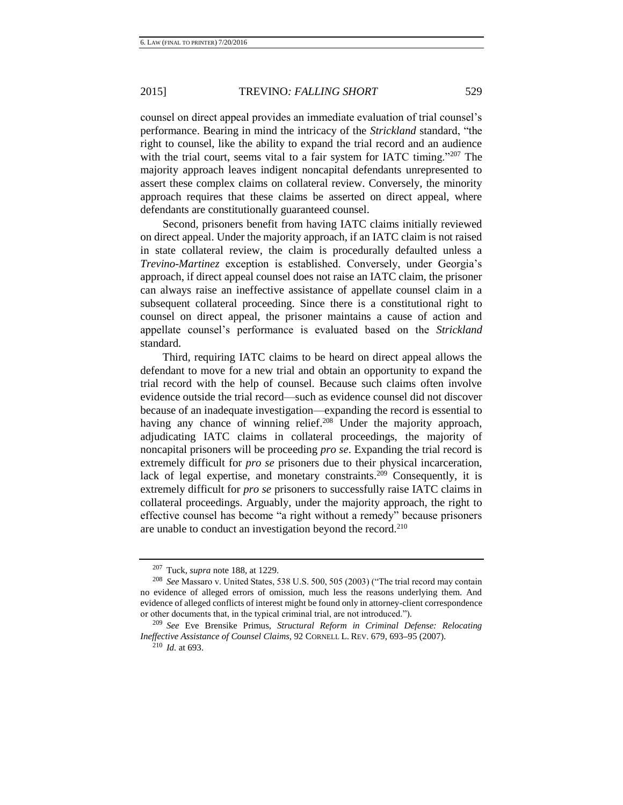counsel on direct appeal provides an immediate evaluation of trial counsel's performance. Bearing in mind the intricacy of the *Strickland* standard, "the right to counsel, like the ability to expand the trial record and an audience with the trial court, seems vital to a fair system for IATC timing."207 The majority approach leaves indigent noncapital defendants unrepresented to assert these complex claims on collateral review. Conversely, the minority approach requires that these claims be asserted on direct appeal, where defendants are constitutionally guaranteed counsel.

Second, prisoners benefit from having IATC claims initially reviewed on direct appeal. Under the majority approach, if an IATC claim is not raised in state collateral review, the claim is procedurally defaulted unless a *Trevino*-*Martinez* exception is established. Conversely, under Georgia's approach, if direct appeal counsel does not raise an IATC claim, the prisoner can always raise an ineffective assistance of appellate counsel claim in a subsequent collateral proceeding. Since there is a constitutional right to counsel on direct appeal, the prisoner maintains a cause of action and appellate counsel's performance is evaluated based on the *Strickland* standard.

Third, requiring IATC claims to be heard on direct appeal allows the defendant to move for a new trial and obtain an opportunity to expand the trial record with the help of counsel. Because such claims often involve evidence outside the trial record—such as evidence counsel did not discover because of an inadequate investigation—expanding the record is essential to having any chance of winning relief.<sup>208</sup> Under the majority approach, adjudicating IATC claims in collateral proceedings, the majority of noncapital prisoners will be proceeding *pro se*. Expanding the trial record is extremely difficult for *pro se* prisoners due to their physical incarceration, lack of legal expertise, and monetary constraints.<sup>209</sup> Consequently, it is extremely difficult for *pro se* prisoners to successfully raise IATC claims in collateral proceedings. Arguably, under the majority approach, the right to effective counsel has become "a right without a remedy" because prisoners are unable to conduct an investigation beyond the record.<sup>210</sup>

<sup>207</sup> Tuck, *supra* not[e 188,](#page-28-0) at 1229.

<sup>208</sup> *See* Massaro v. United States, 538 U.S. 500, 505 (2003) ("The trial record may contain no evidence of alleged errors of omission, much less the reasons underlying them. And evidence of alleged conflicts of interest might be found only in attorney-client correspondence or other documents that, in the typical criminal trial, are not introduced.").

<sup>209</sup> *See* Eve Brensike Primus, *Structural Reform in Criminal Defense: Relocating Ineffective Assistance of Counsel Claims*, 92 CORNELL L. REV. 679, 693**–**95 (2007).

<sup>210</sup> *Id.* at 693.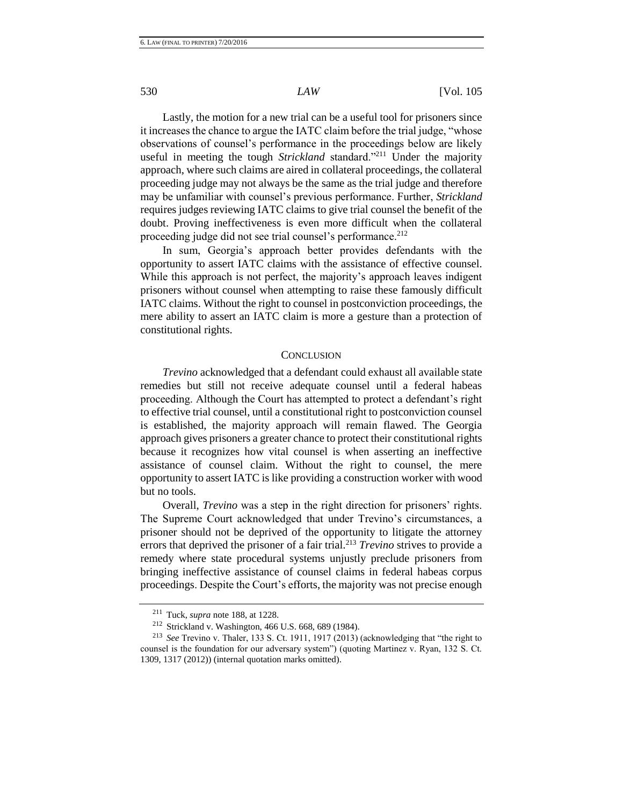Lastly, the motion for a new trial can be a useful tool for prisoners since it increases the chance to argue the IATC claim before the trial judge, "whose observations of counsel's performance in the proceedings below are likely useful in meeting the tough *Strickland* standard."<sup>211</sup> Under the majority approach, where such claims are aired in collateral proceedings, the collateral proceeding judge may not always be the same as the trial judge and therefore may be unfamiliar with counsel's previous performance. Further, *Strickland* requires judges reviewing IATC claims to give trial counsel the benefit of the doubt. Proving ineffectiveness is even more difficult when the collateral proceeding judge did not see trial counsel's performance.<sup>212</sup>

In sum, Georgia's approach better provides defendants with the opportunity to assert IATC claims with the assistance of effective counsel. While this approach is not perfect, the majority's approach leaves indigent prisoners without counsel when attempting to raise these famously difficult IATC claims. Without the right to counsel in postconviction proceedings, the mere ability to assert an IATC claim is more a gesture than a protection of constitutional rights.

#### **CONCLUSION**

*Trevino* acknowledged that a defendant could exhaust all available state remedies but still not receive adequate counsel until a federal habeas proceeding. Although the Court has attempted to protect a defendant's right to effective trial counsel, until a constitutional right to postconviction counsel is established, the majority approach will remain flawed. The Georgia approach gives prisoners a greater chance to protect their constitutional rights because it recognizes how vital counsel is when asserting an ineffective assistance of counsel claim. Without the right to counsel, the mere opportunity to assert IATC is like providing a construction worker with wood but no tools.

Overall, *Trevino* was a step in the right direction for prisoners' rights. The Supreme Court acknowledged that under Trevino's circumstances, a prisoner should not be deprived of the opportunity to litigate the attorney errors that deprived the prisoner of a fair trial.<sup>213</sup> *Trevino* strives to provide a remedy where state procedural systems unjustly preclude prisoners from bringing ineffective assistance of counsel claims in federal habeas corpus proceedings. Despite the Court's efforts, the majority was not precise enough

<sup>211</sup> Tuck, *supra* not[e 188,](#page-28-0) at 1228.

<sup>212</sup> Strickland v. Washington, 466 U.S. 668, 689 (1984).

<sup>213</sup> *See* Trevino v. Thaler, 133 S. Ct. 1911, 1917 (2013) (acknowledging that "the right to counsel is the foundation for our adversary system") (quoting Martinez v. Ryan, 132 S. Ct. 1309, 1317 (2012)) (internal quotation marks omitted).